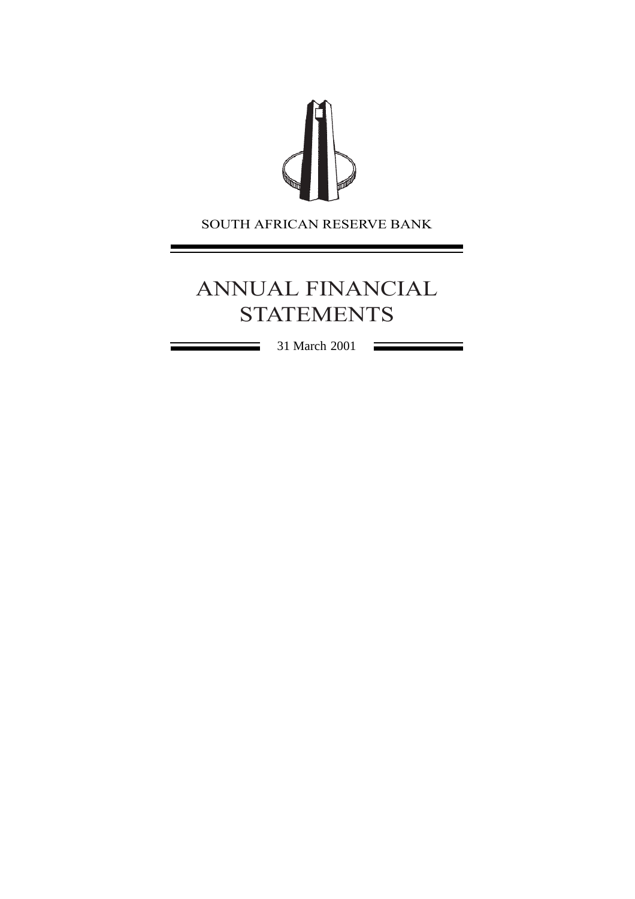

# ANNUAL FINANCIAL **STATEMENTS**

۳

31 March 2001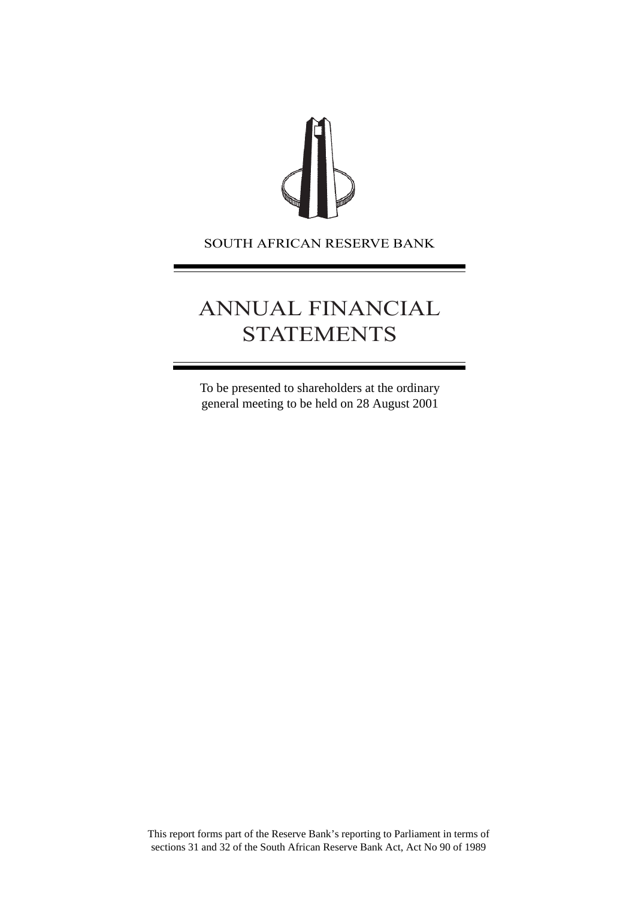## SOUTH AFRICAN RESERVE BANK

# ANNUAL FINANCIAL **STATEMENTS**

To be presented to shareholders at the ordinary general meeting to be held on 28 August 2001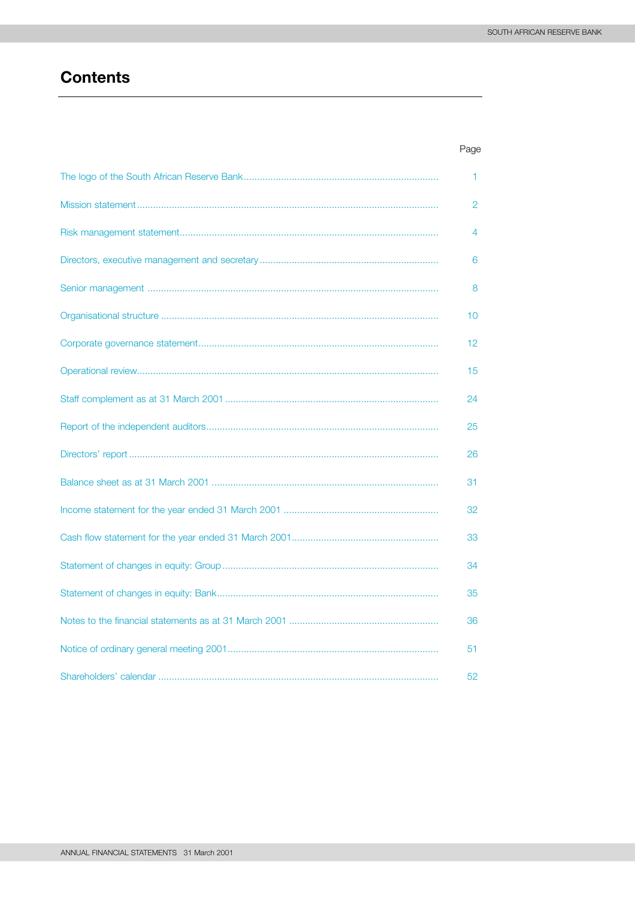# **Contents**

| 1               |
|-----------------|
| $\overline{2}$  |
| 4               |
| 6               |
| 8               |
| 10              |
| 12 <sup>2</sup> |
| 15              |
| 24              |
| 25              |
| 26              |
| 31              |
| 32              |
| 33              |
| 34              |
| 35              |
| 36              |
| 51              |
| 52              |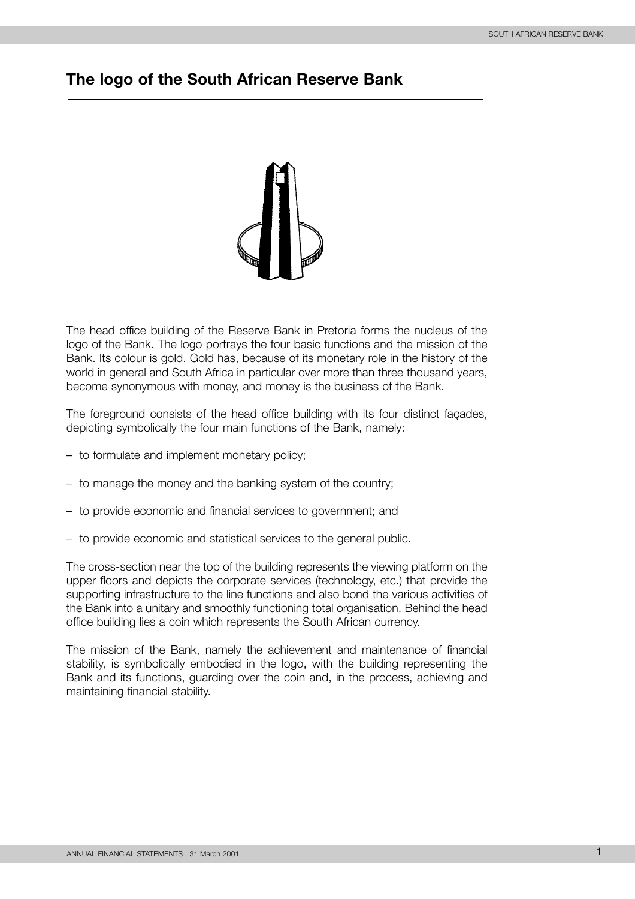# <span id="page-3-0"></span>**The logo of the South African Reserve Bank**



The head office building of the Reserve Bank in Pretoria forms the nucleus of the logo of the Bank. The logo portrays the four basic functions and the mission of the Bank. Its colour is gold. Gold has, because of its monetary role in the history of the world in general and South Africa in particular over more than three thousand years, become synonymous with money, and money is the business of the Bank.

The foreground consists of the head office building with its four distinct façades, depicting symbolically the four main functions of the Bank, namely:

- to formulate and implement monetary policy;
- to manage the money and the banking system of the country;
- to provide economic and financial services to government; and
- to provide economic and statistical services to the general public.

The cross-section near the top of the building represents the viewing platform on the upper floors and depicts the corporate services (technology, etc.) that provide the supporting infrastructure to the line functions and also bond the various activities of the Bank into a unitary and smoothly functioning total organisation. Behind the head office building lies a coin which represents the South African currency.

The mission of the Bank, namely the achievement and maintenance of financial stability, is symbolically embodied in the logo, with the building representing the Bank and its functions, guarding over the coin and, in the process, achieving and maintaining financial stability.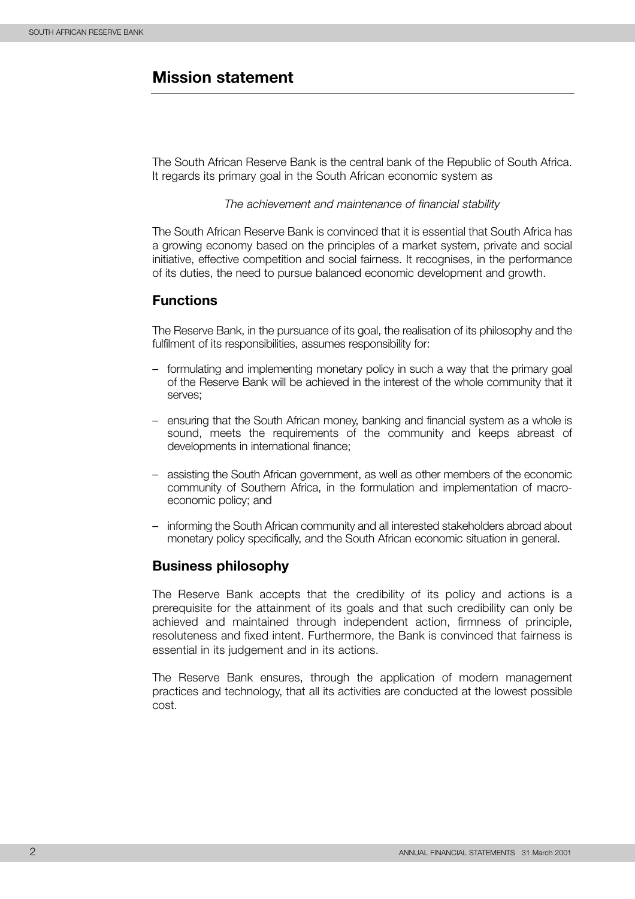# <span id="page-4-0"></span>**Mission statement**

The South African Reserve Bank is the central bank of the Republic of South Africa. It regards its primary goal in the South African economic system as

#### *The achievement and maintenance of financial stability*

The South African Reserve Bank is convinced that it is essential that South Africa has a growing economy based on the principles of a market system, private and social initiative, effective competition and social fairness. It recognises, in the performance of its duties, the need to pursue balanced economic development and growth.

### **Functions**

The Reserve Bank, in the pursuance of its goal, the realisation of its philosophy and the fulfilment of its responsibilities, assumes responsibility for:

- formulating and implementing monetary policy in such a way that the primary goal of the Reserve Bank will be achieved in the interest of the whole community that it serves;
- ensuring that the South African money, banking and financial system as a whole is sound, meets the requirements of the community and keeps abreast of developments in international finance;
- assisting the South African government, as well as other members of the economic community of Southern Africa, in the formulation and implementation of macroeconomic policy; and
- informing the South African community and all interested stakeholders abroad about monetary policy specifically, and the South African economic situation in general.

#### **Business philosophy**

The Reserve Bank accepts that the credibility of its policy and actions is a prerequisite for the attainment of its goals and that such credibility can only be achieved and maintained through independent action, firmness of principle, resoluteness and fixed intent. Furthermore, the Bank is convinced that fairness is essential in its judgement and in its actions.

The Reserve Bank ensures, through the application of modern management practices and technology, that all its activities are conducted at the lowest possible cost.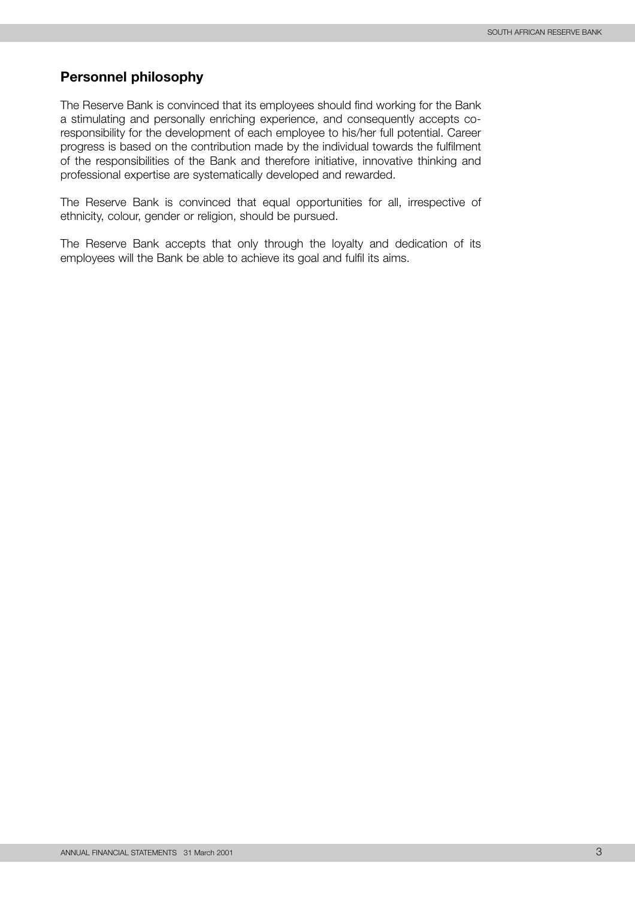#### **Personnel philosophy**

The Reserve Bank is convinced that its employees should find working for the Bank a stimulating and personally enriching experience, and consequently accepts coresponsibility for the development of each employee to his/her full potential. Career progress is based on the contribution made by the individual towards the fulfilment of the responsibilities of the Bank and therefore initiative, innovative thinking and professional expertise are systematically developed and rewarded.

The Reserve Bank is convinced that equal opportunities for all, irrespective of ethnicity, colour, gender or religion, should be pursued.

The Reserve Bank accepts that only through the loyalty and dedication of its employees will the Bank be able to achieve its goal and fulfil its aims.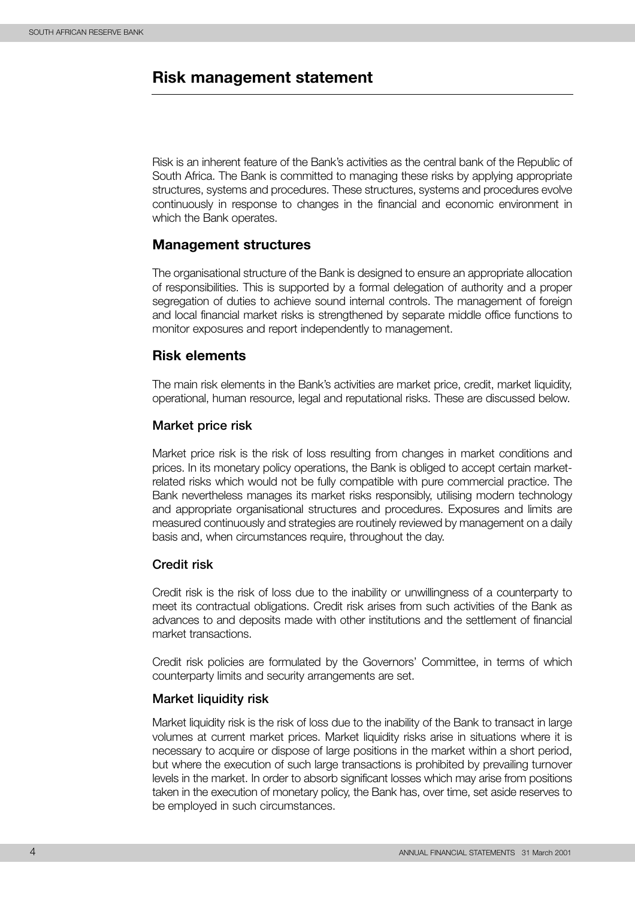# <span id="page-6-0"></span>**Risk management statement**

Risk is an inherent feature of the Bank's activities as the central bank of the Republic of South Africa. The Bank is committed to managing these risks by applying appropriate structures, systems and procedures. These structures, systems and procedures evolve continuously in response to changes in the financial and economic environment in which the Bank operates.

#### **Management structures**

The organisational structure of the Bank is designed to ensure an appropriate allocation of responsibilities. This is supported by a formal delegation of authority and a proper segregation of duties to achieve sound internal controls. The management of foreign and local financial market risks is strengthened by separate middle office functions to monitor exposures and report independently to management.

#### **Risk elements**

The main risk elements in the Bank's activities are market price, credit, market liquidity, operational, human resource, legal and reputational risks. These are discussed below.

#### **Market price risk**

Market price risk is the risk of loss resulting from changes in market conditions and prices. In its monetary policy operations, the Bank is obliged to accept certain marketrelated risks which would not be fully compatible with pure commercial practice. The Bank nevertheless manages its market risks responsibly, utilising modern technology and appropriate organisational structures and procedures. Exposures and limits are measured continuously and strategies are routinely reviewed by management on a daily basis and, when circumstances require, throughout the day.

#### **Credit risk**

Credit risk is the risk of loss due to the inability or unwillingness of a counterparty to meet its contractual obligations. Credit risk arises from such activities of the Bank as advances to and deposits made with other institutions and the settlement of financial market transactions.

Credit risk policies are formulated by the Governors' Committee, in terms of which counterparty limits and security arrangements are set.

#### **Market liquidity risk**

Market liquidity risk is the risk of loss due to the inability of the Bank to transact in large volumes at current market prices. Market liquidity risks arise in situations where it is necessary to acquire or dispose of large positions in the market within a short period, but where the execution of such large transactions is prohibited by prevailing turnover levels in the market. In order to absorb significant losses which may arise from positions taken in the execution of monetary policy, the Bank has, over time, set aside reserves to be employed in such circumstances.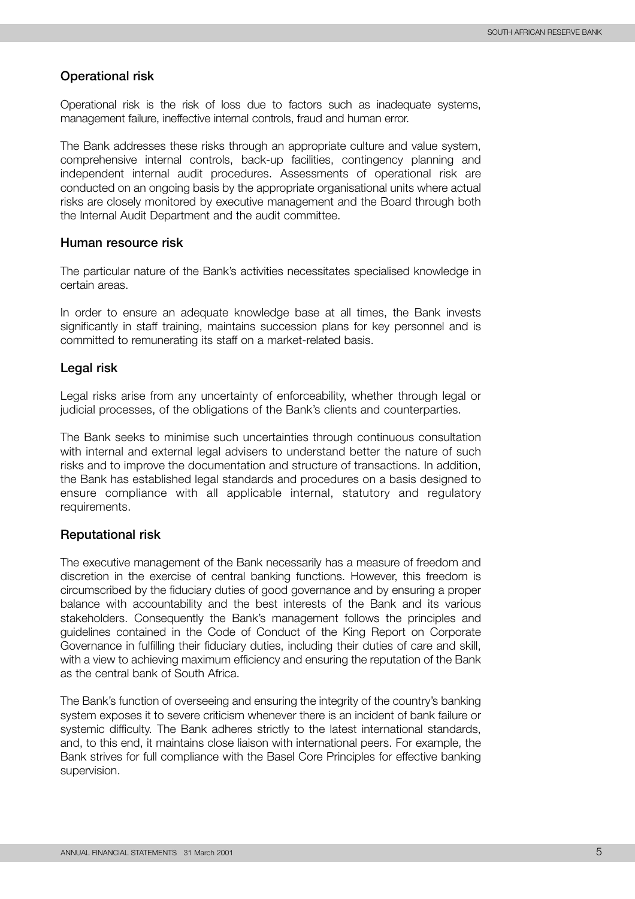#### **Operational risk**

Operational risk is the risk of loss due to factors such as inadequate systems, management failure, ineffective internal controls, fraud and human error.

The Bank addresses these risks through an appropriate culture and value system, comprehensive internal controls, back-up facilities, contingency planning and independent internal audit procedures. Assessments of operational risk are conducted on an ongoing basis by the appropriate organisational units where actual risks are closely monitored by executive management and the Board through both the Internal Audit Department and the audit committee.

#### **Human resource risk**

The particular nature of the Bank's activities necessitates specialised knowledge in certain areas.

In order to ensure an adequate knowledge base at all times, the Bank invests significantly in staff training, maintains succession plans for key personnel and is committed to remunerating its staff on a market-related basis.

#### **Legal risk**

Legal risks arise from any uncertainty of enforceability, whether through legal or judicial processes, of the obligations of the Bank's clients and counterparties.

The Bank seeks to minimise such uncertainties through continuous consultation with internal and external legal advisers to understand better the nature of such risks and to improve the documentation and structure of transactions. In addition, the Bank has established legal standards and procedures on a basis designed to ensure compliance with all applicable internal, statutory and regulatory requirements.

#### **Reputational risk**

The executive management of the Bank necessarily has a measure of freedom and discretion in the exercise of central banking functions. However, this freedom is circumscribed by the fiduciary duties of good governance and by ensuring a proper balance with accountability and the best interests of the Bank and its various stakeholders. Consequently the Bank's management follows the principles and guidelines contained in the Code of Conduct of the King Report on Corporate Governance in fulfilling their fiduciary duties, including their duties of care and skill, with a view to achieving maximum efficiency and ensuring the reputation of the Bank as the central bank of South Africa.

The Bank's function of overseeing and ensuring the integrity of the country's banking system exposes it to severe criticism whenever there is an incident of bank failure or systemic difficulty. The Bank adheres strictly to the latest international standards, and, to this end, it maintains close liaison with international peers. For example, the Bank strives for full compliance with the Basel Core Principles for effective banking supervision.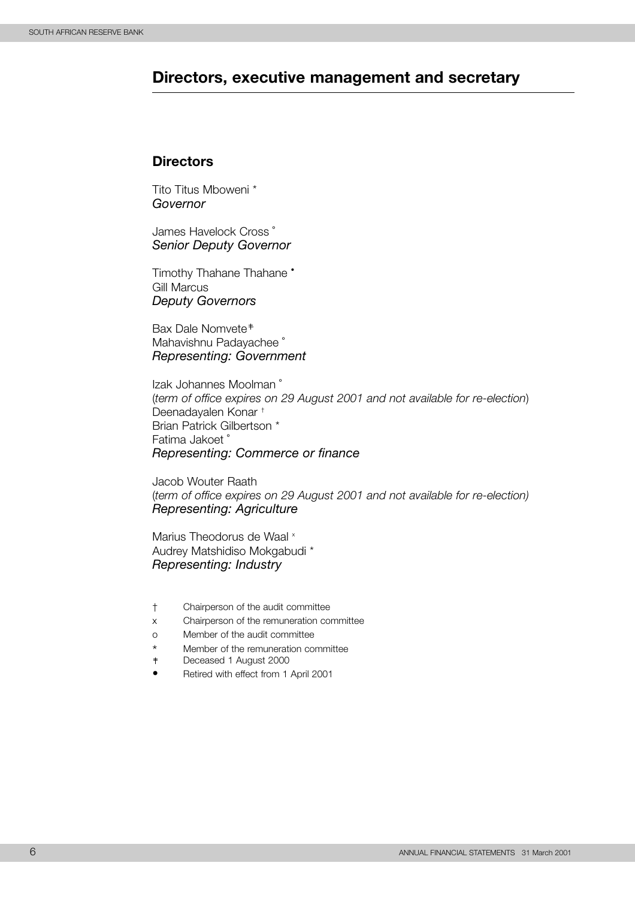# <span id="page-8-0"></span>**Directors, executive management and secretary**

#### **Directors**

Tito Titus Mboweni \* *Governor*

James Havelock Cross ˚ *Senior Deputy Governor*

Timothy Thahane Thahane **•** Gill Marcus *Deputy Governors*

Bax Dale Nomvete Mahavishnu Padayachee ˚ *Representing: Government*

Izak Johannes Moolman ˚ (*term of office expires on 29 August 2001 and not available for re-election*) Deenadayalen Konar † Brian Patrick Gilbertson \* Fatima Jakoet ˚ *Representing: Commerce or finance*

Jacob Wouter Raath (*term of office expires on 29 August 2001 and not available for re-election) Representing: Agriculture*

Marius Theodorus de Waal × Audrey Matshidiso Mokgabudi \* *Representing: Industry* 

- † Chairperson of the audit committee
- x Chairperson of the remuneration committee
- o Member of the audit committee
- \* Member of the remuneration committee<br>  $\uparrow$  Deceased 1 August 2000
- Deceased 1 August 2000
- **•** Retired with effect from 1 April 2001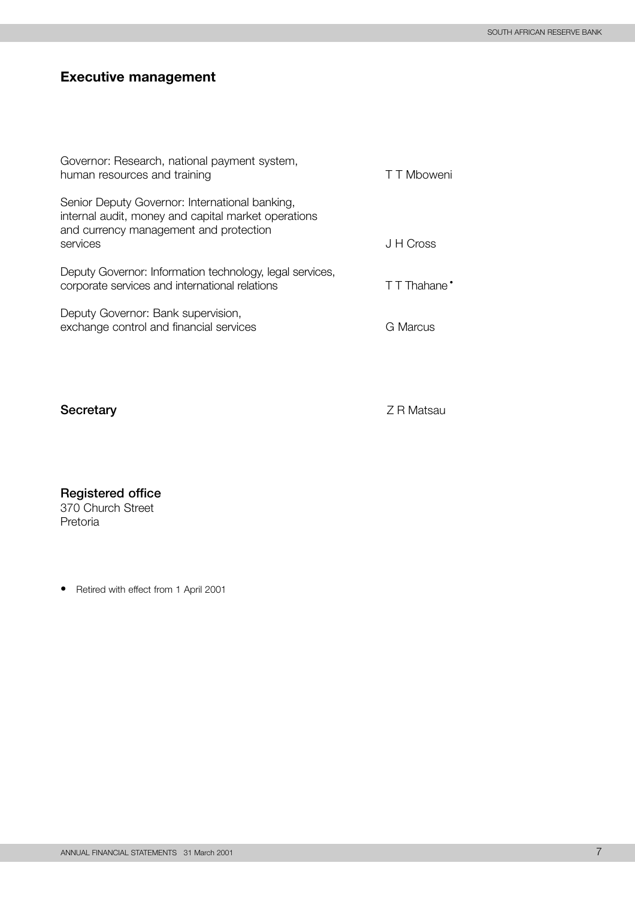# **Executive management**

| Governor: Research, national payment system,<br>human resources and training                                                                                | T T Mboweni  |
|-------------------------------------------------------------------------------------------------------------------------------------------------------------|--------------|
| Senior Deputy Governor: International banking,<br>internal audit, money and capital market operations<br>and currency management and protection<br>services | J H Cross    |
| Deputy Governor: Information technology, legal services,<br>corporate services and international relations                                                  | T T Thahane' |
| Deputy Governor: Bank supervision,<br>exchange control and financial services                                                                               | G Marcus     |

Secretary **Secretary Z R Matsau** 

**Registered office** 370 Church Street Pretoria

**•** Retired with effect from 1 April 2001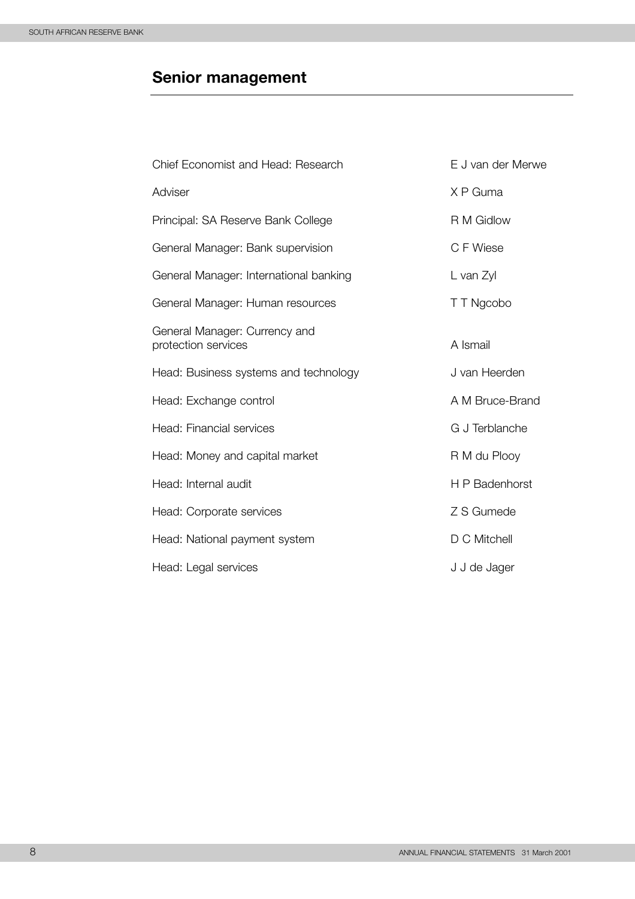# **Senior management**

| Chief Economist and Head: Research                   | E J van der Merwe |
|------------------------------------------------------|-------------------|
| Adviser                                              | X P Guma          |
| Principal: SA Reserve Bank College                   | R M Gidlow        |
| General Manager: Bank supervision                    | C F Wiese         |
| General Manager: International banking               | L van Zyl         |
| General Manager: Human resources                     | T T Ngcobo        |
| General Manager: Currency and<br>protection services | A Ismail          |
| Head: Business systems and technology                | J van Heerden     |
| Head: Exchange control                               | A M Bruce-Brand   |
| Head: Financial services                             | G J Terblanche    |
| Head: Money and capital market                       | R M du Plooy      |
| Head: Internal audit                                 | H P Badenhorst    |
| Head: Corporate services                             | Z S Gumede        |
| Head: National payment system                        | D C Mitchell      |
| Head: Legal services                                 | J J de Jager      |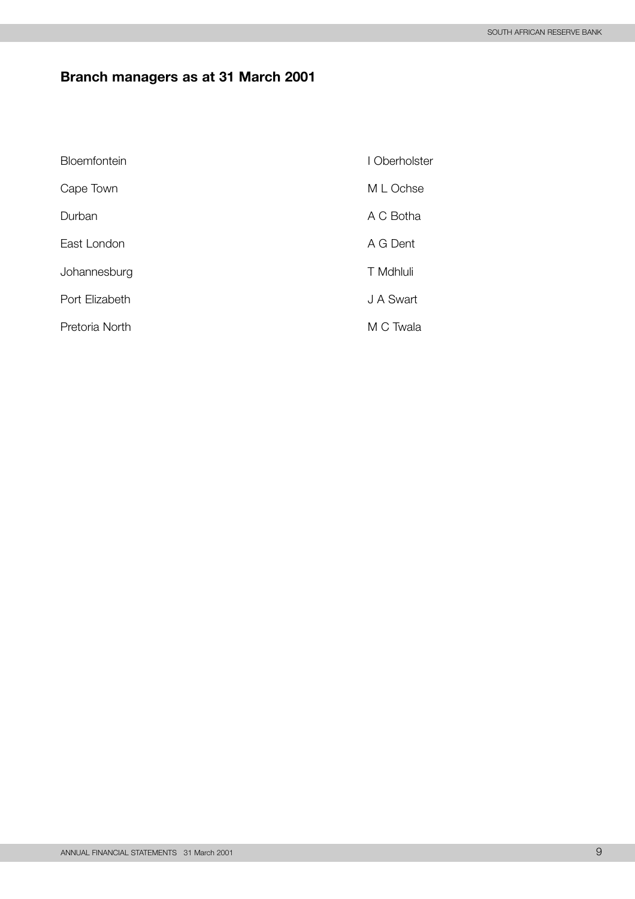# **Branch managers as at 31 March 2001**

| Bloemfontein   | I Oberholster |
|----------------|---------------|
| Cape Town      | M L Ochse     |
| Durban         | A C Botha     |
| East London    | A G Dent      |
| Johannesburg   | T Mdhluli     |
| Port Elizabeth | J A Swart     |
| Pretoria North | M C Twala     |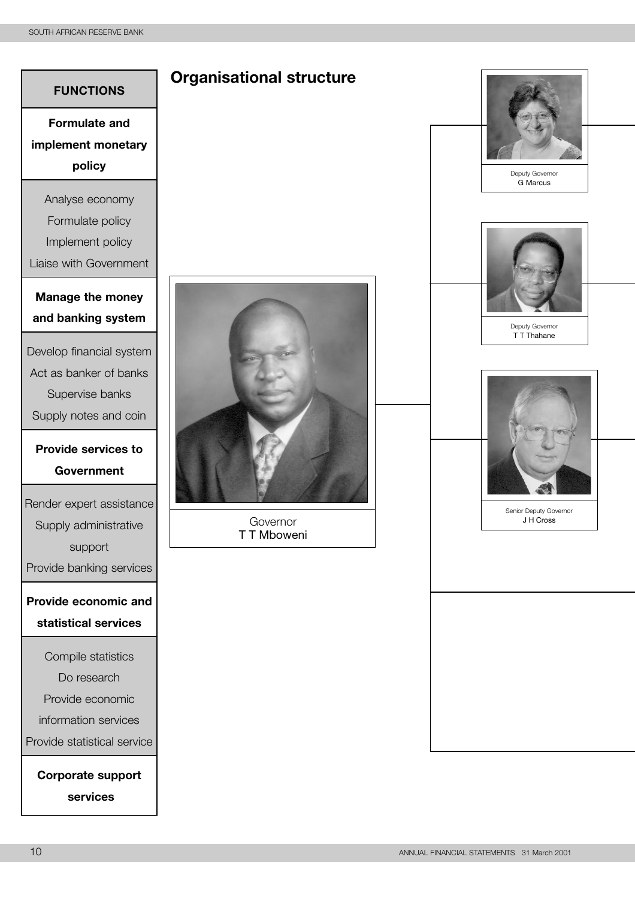<span id="page-12-0"></span>

**Corporate support services**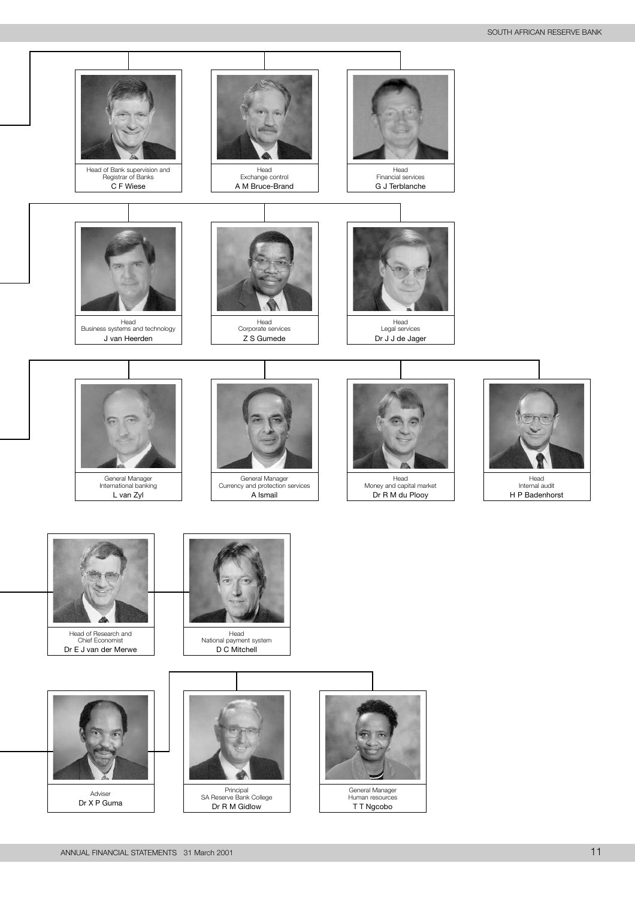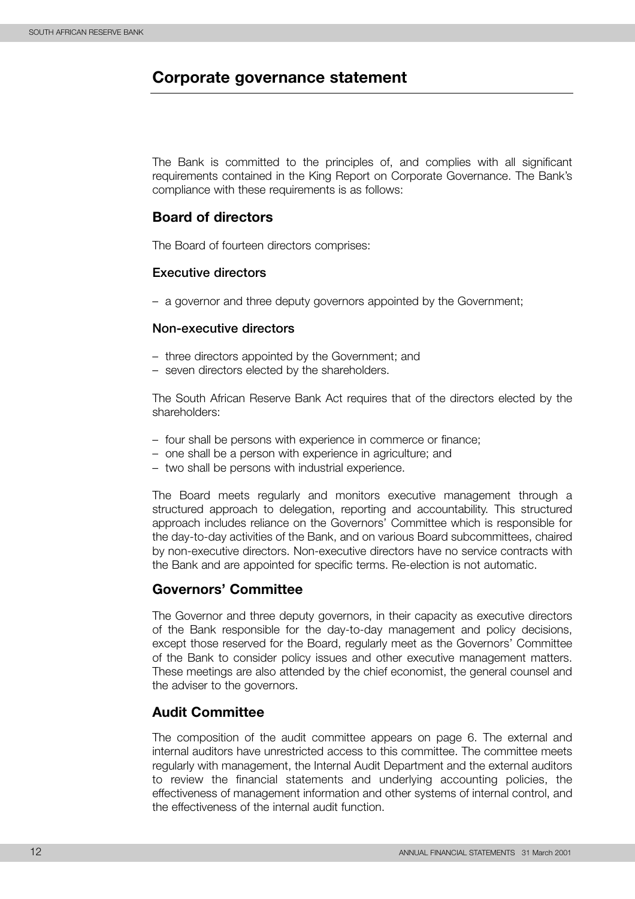# <span id="page-14-0"></span>**Corporate governance statement**

The Bank is committed to the principles of, and complies with all significant requirements contained in the King Report on Corporate Governance. The Bank's compliance with these requirements is as follows:

### **Board of directors**

The Board of fourteen directors comprises:

#### **Executive directors**

– a governor and three deputy governors appointed by the Government;

#### **Non-executive directors**

- three directors appointed by the Government; and
- seven directors elected by the shareholders.

The South African Reserve Bank Act requires that of the directors elected by the shareholders:

- four shall be persons with experience in commerce or finance;
- one shall be a person with experience in agriculture; and
- two shall be persons with industrial experience.

The Board meets regularly and monitors executive management through a structured approach to delegation, reporting and accountability. This structured approach includes reliance on the Governors' Committee which is responsible for the day-to-day activities of the Bank, and on various Board subcommittees, chaired by non-executive directors. Non-executive directors have no service contracts with the Bank and are appointed for specific terms. Re-election is not automatic.

#### **Governors' Committee**

The Governor and three deputy governors, in their capacity as executive directors of the Bank responsible for the day-to-day management and policy decisions, except those reserved for the Board, regularly meet as the Governors' Committee of the Bank to consider policy issues and other executive management matters. These meetings are also attended by the chief economist, the general counsel and the adviser to the governors.

#### **Audit Committee**

The composition of the audit committee appears on page 6. The external and internal auditors have unrestricted access to this committee. The committee meets regularly with management, the Internal Audit Department and the external auditors to review the financial statements and underlying accounting policies, the effectiveness of management information and other systems of internal control, and the effectiveness of the internal audit function.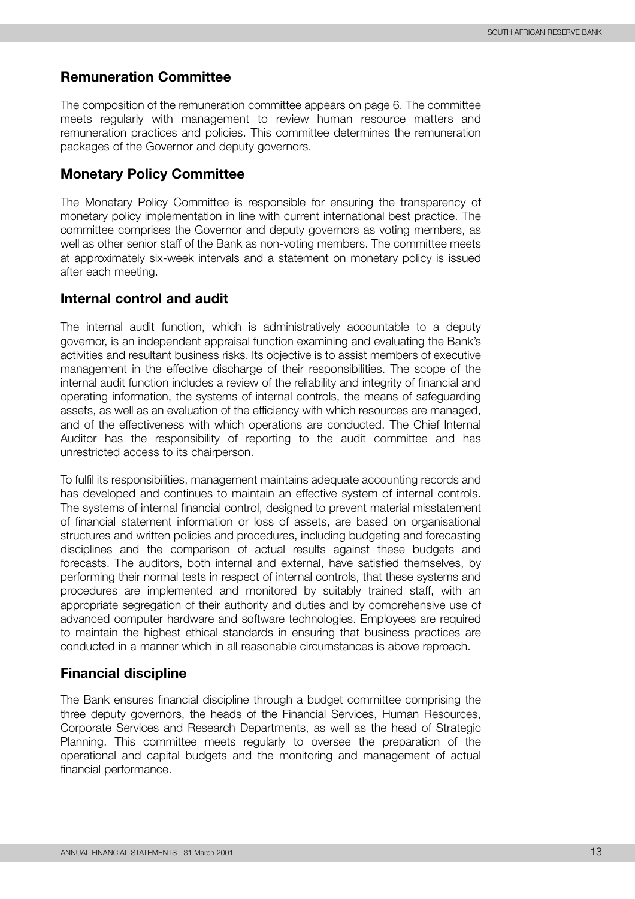#### **Remuneration Committee**

The composition of the remuneration committee appears on page 6. The committee meets regularly with management to review human resource matters and remuneration practices and policies. This committee determines the remuneration packages of the Governor and deputy governors.

#### **Monetary Policy Committee**

The Monetary Policy Committee is responsible for ensuring the transparency of monetary policy implementation in line with current international best practice. The committee comprises the Governor and deputy governors as voting members, as well as other senior staff of the Bank as non-voting members. The committee meets at approximately six-week intervals and a statement on monetary policy is issued after each meeting.

#### **Internal control and audit**

The internal audit function, which is administratively accountable to a deputy governor, is an independent appraisal function examining and evaluating the Bank's activities and resultant business risks. Its objective is to assist members of executive management in the effective discharge of their responsibilities. The scope of the internal audit function includes a review of the reliability and integrity of financial and operating information, the systems of internal controls, the means of safeguarding assets, as well as an evaluation of the efficiency with which resources are managed, and of the effectiveness with which operations are conducted. The Chief Internal Auditor has the responsibility of reporting to the audit committee and has unrestricted access to its chairperson.

To fulfil its responsibilities, management maintains adequate accounting records and has developed and continues to maintain an effective system of internal controls. The systems of internal financial control, designed to prevent material misstatement of financial statement information or loss of assets, are based on organisational structures and written policies and procedures, including budgeting and forecasting disciplines and the comparison of actual results against these budgets and forecasts. The auditors, both internal and external, have satisfied themselves, by performing their normal tests in respect of internal controls, that these systems and procedures are implemented and monitored by suitably trained staff, with an appropriate segregation of their authority and duties and by comprehensive use of advanced computer hardware and software technologies. Employees are required to maintain the highest ethical standards in ensuring that business practices are conducted in a manner which in all reasonable circumstances is above reproach.

#### **Financial discipline**

The Bank ensures financial discipline through a budget committee comprising the three deputy governors, the heads of the Financial Services, Human Resources, Corporate Services and Research Departments, as well as the head of Strategic Planning. This committee meets regularly to oversee the preparation of the operational and capital budgets and the monitoring and management of actual financial performance.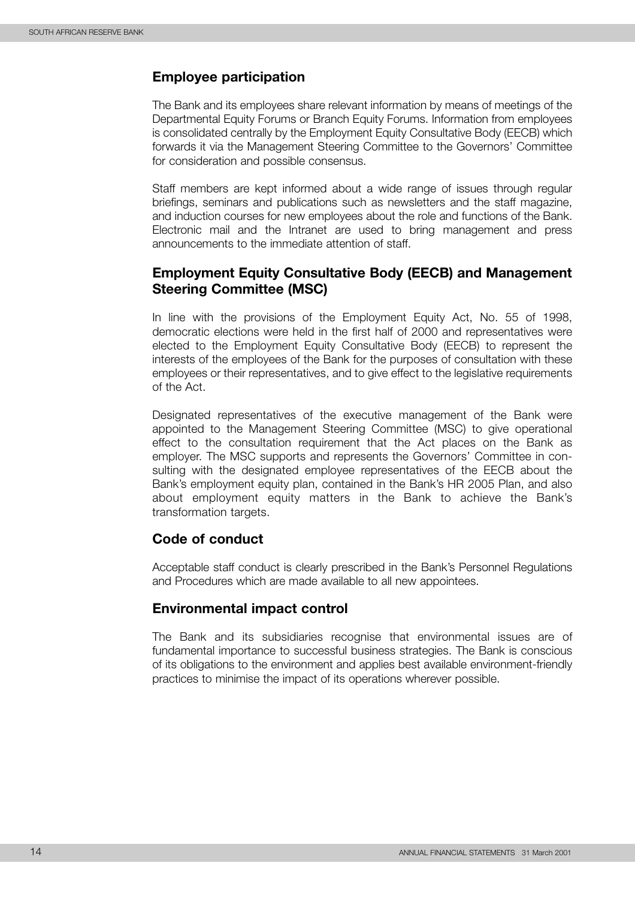### **Employee participation**

The Bank and its employees share relevant information by means of meetings of the Departmental Equity Forums or Branch Equity Forums. Information from employees is consolidated centrally by the Employment Equity Consultative Body (EECB) which forwards it via the Management Steering Committee to the Governors' Committee for consideration and possible consensus.

Staff members are kept informed about a wide range of issues through regular briefings, seminars and publications such as newsletters and the staff magazine, and induction courses for new employees about the role and functions of the Bank. Electronic mail and the Intranet are used to bring management and press announcements to the immediate attention of staff.

### **Employment Equity Consultative Body (EECB) and Management Steering Committee (MSC)**

In line with the provisions of the Employment Equity Act, No. 55 of 1998, democratic elections were held in the first half of 2000 and representatives were elected to the Employment Equity Consultative Body (EECB) to represent the interests of the employees of the Bank for the purposes of consultation with these employees or their representatives, and to give effect to the legislative requirements of the Act.

Designated representatives of the executive management of the Bank were appointed to the Management Steering Committee (MSC) to give operational effect to the consultation requirement that the Act places on the Bank as employer. The MSC supports and represents the Governors' Committee in consulting with the designated employee representatives of the EECB about the Bank's employment equity plan, contained in the Bank's HR 2005 Plan, and also about employment equity matters in the Bank to achieve the Bank's transformation targets.

## **Code of conduct**

Acceptable staff conduct is clearly prescribed in the Bank's Personnel Regulations and Procedures which are made available to all new appointees.

## **Environmental impact control**

The Bank and its subsidiaries recognise that environmental issues are of fundamental importance to successful business strategies. The Bank is conscious of its obligations to the environment and applies best available environment-friendly practices to minimise the impact of its operations wherever possible.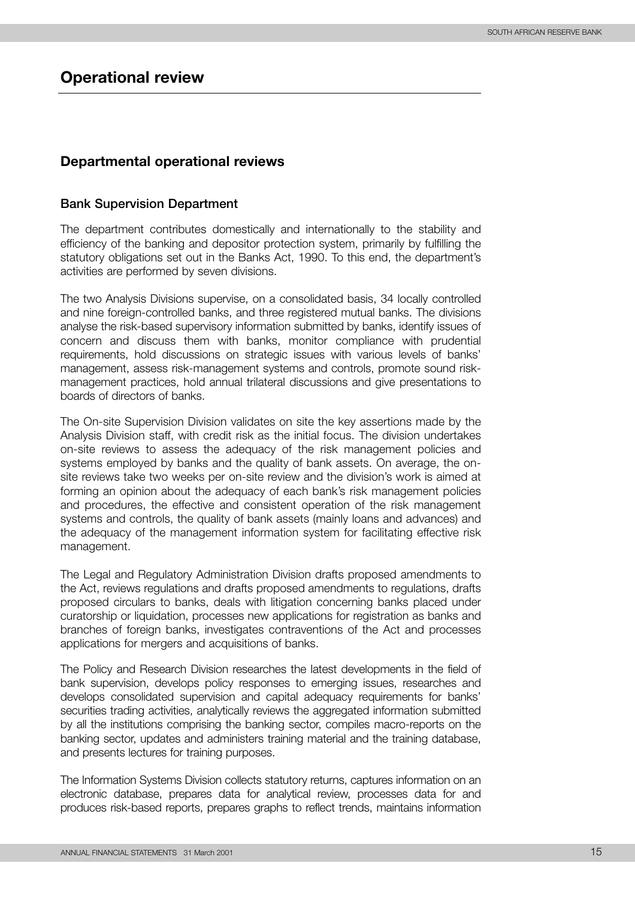# <span id="page-17-0"></span>**Operational review**

#### **Departmental operational reviews**

#### **Bank Supervision Department**

The department contributes domestically and internationally to the stability and efficiency of the banking and depositor protection system, primarily by fulfilling the statutory obligations set out in the Banks Act, 1990. To this end, the department's activities are performed by seven divisions.

The two Analysis Divisions supervise, on a consolidated basis, 34 locally controlled and nine foreign-controlled banks, and three registered mutual banks. The divisions analyse the risk-based supervisory information submitted by banks, identify issues of concern and discuss them with banks, monitor compliance with prudential requirements, hold discussions on strategic issues with various levels of banks' management, assess risk-management systems and controls, promote sound riskmanagement practices, hold annual trilateral discussions and give presentations to boards of directors of banks.

The On-site Supervision Division validates on site the key assertions made by the Analysis Division staff, with credit risk as the initial focus. The division undertakes on-site reviews to assess the adequacy of the risk management policies and systems employed by banks and the quality of bank assets. On average, the onsite reviews take two weeks per on-site review and the division's work is aimed at forming an opinion about the adequacy of each bank's risk management policies and procedures, the effective and consistent operation of the risk management systems and controls, the quality of bank assets (mainly loans and advances) and the adequacy of the management information system for facilitating effective risk management.

The Legal and Regulatory Administration Division drafts proposed amendments to the Act, reviews regulations and drafts proposed amendments to regulations, drafts proposed circulars to banks, deals with litigation concerning banks placed under curatorship or liquidation, processes new applications for registration as banks and branches of foreign banks, investigates contraventions of the Act and processes applications for mergers and acquisitions of banks.

The Policy and Research Division researches the latest developments in the field of bank supervision, develops policy responses to emerging issues, researches and develops consolidated supervision and capital adequacy requirements for banks' securities trading activities, analytically reviews the aggregated information submitted by all the institutions comprising the banking sector, compiles macro-reports on the banking sector, updates and administers training material and the training database, and presents lectures for training purposes.

The Information Systems Division collects statutory returns, captures information on an electronic database, prepares data for analytical review, processes data for and produces risk-based reports, prepares graphs to reflect trends, maintains information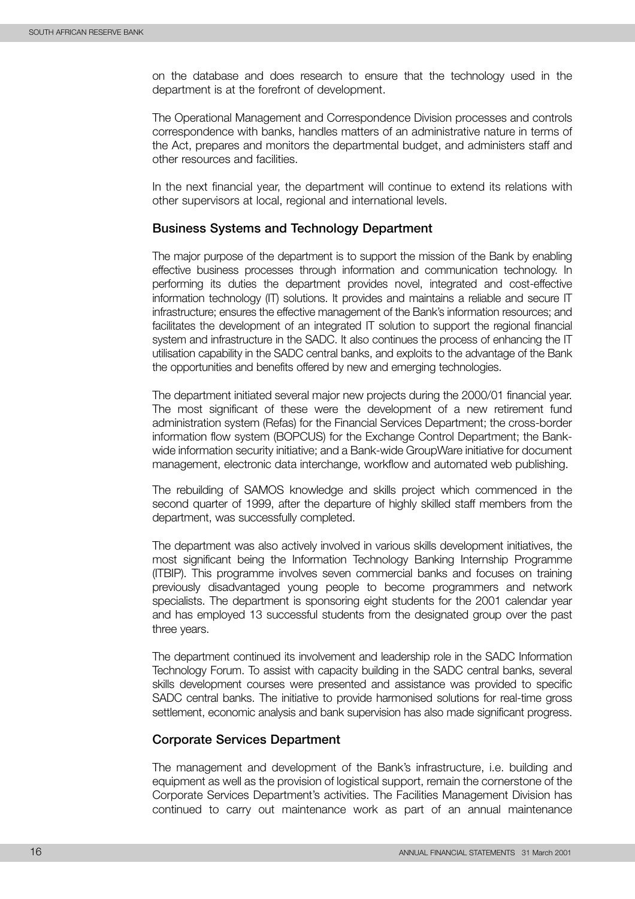on the database and does research to ensure that the technology used in the department is at the forefront of development.

The Operational Management and Correspondence Division processes and controls correspondence with banks, handles matters of an administrative nature in terms of the Act, prepares and monitors the departmental budget, and administers staff and other resources and facilities.

In the next financial year, the department will continue to extend its relations with other supervisors at local, regional and international levels.

#### **Business Systems and Technology Department**

The major purpose of the department is to support the mission of the Bank by enabling effective business processes through information and communication technology. In performing its duties the department provides novel, integrated and cost-effective information technology (IT) solutions. It provides and maintains a reliable and secure IT infrastructure; ensures the effective management of the Bank's information resources; and facilitates the development of an integrated IT solution to support the regional financial system and infrastructure in the SADC. It also continues the process of enhancing the IT utilisation capability in the SADC central banks, and exploits to the advantage of the Bank the opportunities and benefits offered by new and emerging technologies.

The department initiated several major new projects during the 2000/01 financial year. The most significant of these were the development of a new retirement fund administration system (Refas) for the Financial Services Department; the cross-border information flow system (BOPCUS) for the Exchange Control Department; the Bankwide information security initiative; and a Bank-wide GroupWare initiative for document management, electronic data interchange, workflow and automated web publishing.

The rebuilding of SAMOS knowledge and skills project which commenced in the second quarter of 1999, after the departure of highly skilled staff members from the department, was successfully completed.

The department was also actively involved in various skills development initiatives, the most significant being the Information Technology Banking Internship Programme (ITBIP). This programme involves seven commercial banks and focuses on training previously disadvantaged young people to become programmers and network specialists. The department is sponsoring eight students for the 2001 calendar year and has employed 13 successful students from the designated group over the past three years.

The department continued its involvement and leadership role in the SADC Information Technology Forum. To assist with capacity building in the SADC central banks, several skills development courses were presented and assistance was provided to specific SADC central banks. The initiative to provide harmonised solutions for real-time gross settlement, economic analysis and bank supervision has also made significant progress.

#### **Corporate Services Department**

The management and development of the Bank's infrastructure, i.e. building and equipment as well as the provision of logistical support, remain the cornerstone of the Corporate Services Department's activities. The Facilities Management Division has continued to carry out maintenance work as part of an annual maintenance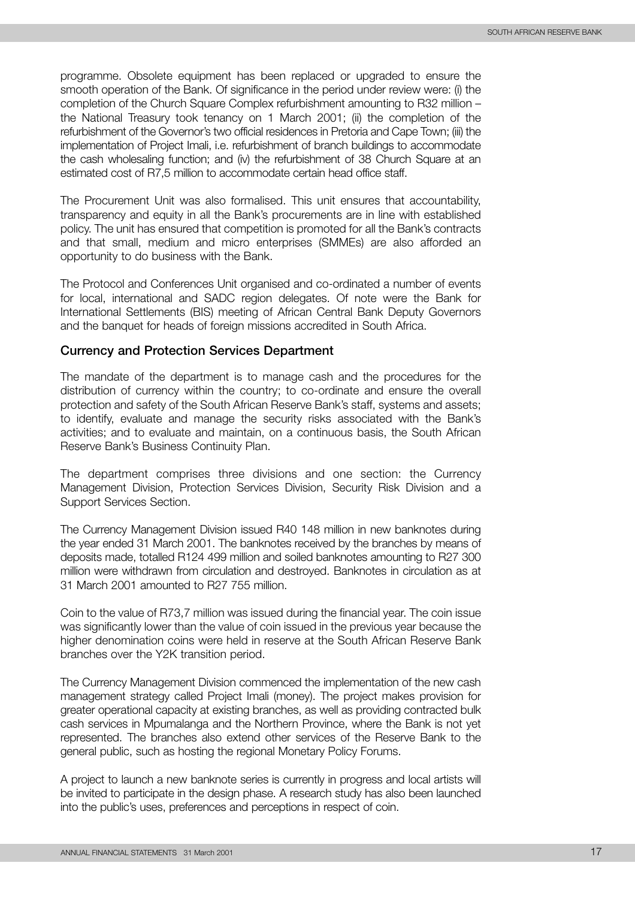programme. Obsolete equipment has been replaced or upgraded to ensure the smooth operation of the Bank. Of significance in the period under review were: (i) the completion of the Church Square Complex refurbishment amounting to R32 million – the National Treasury took tenancy on 1 March 2001; (ii) the completion of the refurbishment of the Governor's two official residences in Pretoria and Cape Town; (iii) the implementation of Project Imali, i.e. refurbishment of branch buildings to accommodate the cash wholesaling function; and (iv) the refurbishment of 38 Church Square at an estimated cost of R7,5 million to accommodate certain head office staff.

The Procurement Unit was also formalised. This unit ensures that accountability, transparency and equity in all the Bank's procurements are in line with established policy. The unit has ensured that competition is promoted for all the Bank's contracts and that small, medium and micro enterprises (SMMEs) are also afforded an opportunity to do business with the Bank.

The Protocol and Conferences Unit organised and co-ordinated a number of events for local, international and SADC region delegates. Of note were the Bank for International Settlements (BIS) meeting of African Central Bank Deputy Governors and the banquet for heads of foreign missions accredited in South Africa.

#### **Currency and Protection Services Department**

The mandate of the department is to manage cash and the procedures for the distribution of currency within the country; to co-ordinate and ensure the overall protection and safety of the South African Reserve Bank's staff, systems and assets; to identify, evaluate and manage the security risks associated with the Bank's activities; and to evaluate and maintain, on a continuous basis, the South African Reserve Bank's Business Continuity Plan.

The department comprises three divisions and one section: the Currency Management Division, Protection Services Division, Security Risk Division and a Support Services Section.

The Currency Management Division issued R40 148 million in new banknotes during the year ended 31 March 2001. The banknotes received by the branches by means of deposits made, totalled R124 499 million and soiled banknotes amounting to R27 300 million were withdrawn from circulation and destroyed. Banknotes in circulation as at 31 March 2001 amounted to R27 755 million.

Coin to the value of R73,7 million was issued during the financial year. The coin issue was significantly lower than the value of coin issued in the previous year because the higher denomination coins were held in reserve at the South African Reserve Bank branches over the Y2K transition period.

The Currency Management Division commenced the implementation of the new cash management strategy called Project Imali (money). The project makes provision for greater operational capacity at existing branches, as well as providing contracted bulk cash services in Mpumalanga and the Northern Province, where the Bank is not yet represented. The branches also extend other services of the Reserve Bank to the general public, such as hosting the regional Monetary Policy Forums.

A project to launch a new banknote series is currently in progress and local artists will be invited to participate in the design phase. A research study has also been launched into the public's uses, preferences and perceptions in respect of coin.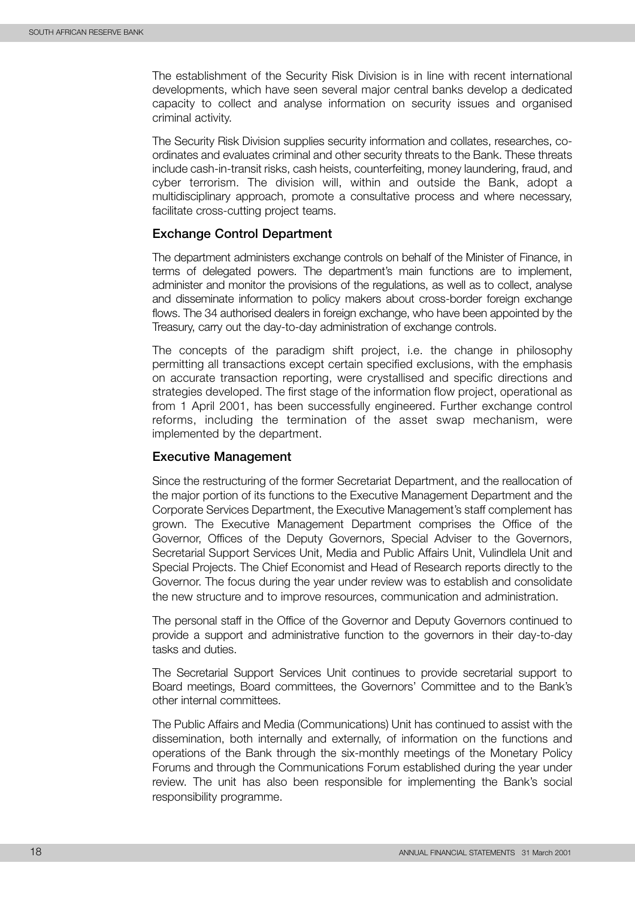The establishment of the Security Risk Division is in line with recent international developments, which have seen several major central banks develop a dedicated capacity to collect and analyse information on security issues and organised criminal activity.

The Security Risk Division supplies security information and collates, researches, coordinates and evaluates criminal and other security threats to the Bank. These threats include cash-in-transit risks, cash heists, counterfeiting, money laundering, fraud, and cyber terrorism. The division will, within and outside the Bank, adopt a multidisciplinary approach, promote a consultative process and where necessary, facilitate cross-cutting project teams.

#### **Exchange Control Department**

The department administers exchange controls on behalf of the Minister of Finance, in terms of delegated powers. The department's main functions are to implement, administer and monitor the provisions of the regulations, as well as to collect, analyse and disseminate information to policy makers about cross-border foreign exchange flows. The 34 authorised dealers in foreign exchange, who have been appointed by the Treasury, carry out the day-to-day administration of exchange controls.

The concepts of the paradigm shift project, i.e. the change in philosophy permitting all transactions except certain specified exclusions, with the emphasis on accurate transaction reporting, were crystallised and specific directions and strategies developed. The first stage of the information flow project, operational as from 1 April 2001, has been successfully engineered. Further exchange control reforms, including the termination of the asset swap mechanism, were implemented by the department.

#### **Executive Management**

Since the restructuring of the former Secretariat Department, and the reallocation of the major portion of its functions to the Executive Management Department and the Corporate Services Department, the Executive Management's staff complement has grown. The Executive Management Department comprises the Office of the Governor, Offices of the Deputy Governors, Special Adviser to the Governors, Secretarial Support Services Unit, Media and Public Affairs Unit, Vulindlela Unit and Special Projects. The Chief Economist and Head of Research reports directly to the Governor. The focus during the year under review was to establish and consolidate the new structure and to improve resources, communication and administration.

The personal staff in the Office of the Governor and Deputy Governors continued to provide a support and administrative function to the governors in their day-to-day tasks and duties.

The Secretarial Support Services Unit continues to provide secretarial support to Board meetings, Board committees, the Governors' Committee and to the Bank's other internal committees.

The Public Affairs and Media (Communications) Unit has continued to assist with the dissemination, both internally and externally, of information on the functions and operations of the Bank through the six-monthly meetings of the Monetary Policy Forums and through the Communications Forum established during the year under review. The unit has also been responsible for implementing the Bank's social responsibility programme.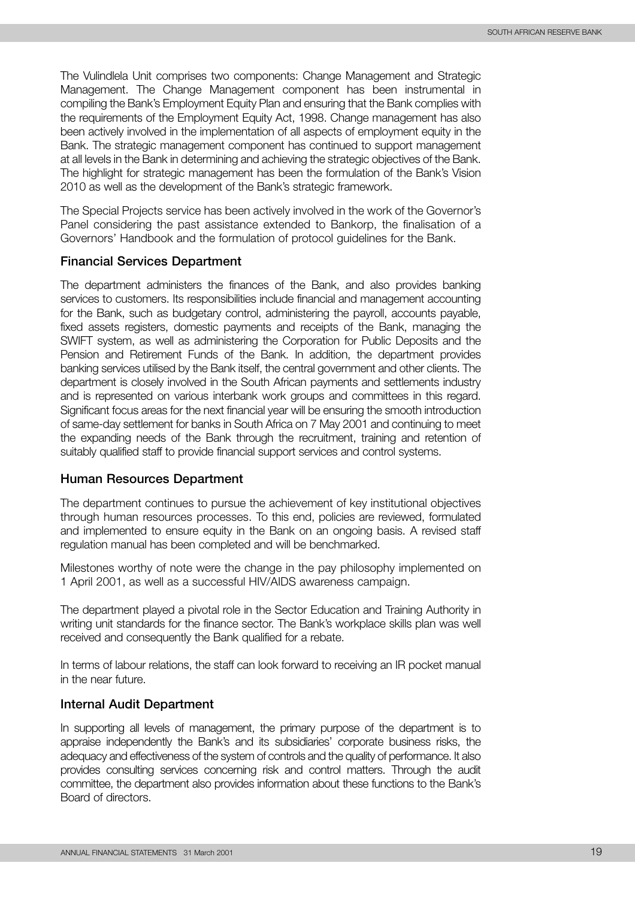The Vulindlela Unit comprises two components: Change Management and Strategic Management. The Change Management component has been instrumental in compiling the Bank's Employment Equity Plan and ensuring that the Bank complies with the requirements of the Employment Equity Act, 1998. Change management has also been actively involved in the implementation of all aspects of employment equity in the Bank. The strategic management component has continued to support management at all levels in the Bank in determining and achieving the strategic objectives of the Bank. The highlight for strategic management has been the formulation of the Bank's Vision 2010 as well as the development of the Bank's strategic framework.

The Special Projects service has been actively involved in the work of the Governor's Panel considering the past assistance extended to Bankorp, the finalisation of a Governors' Handbook and the formulation of protocol guidelines for the Bank.

#### **Financial Services Department**

The department administers the finances of the Bank, and also provides banking services to customers. Its responsibilities include financial and management accounting for the Bank, such as budgetary control, administering the payroll, accounts payable, fixed assets registers, domestic payments and receipts of the Bank, managing the SWIFT system, as well as administering the Corporation for Public Deposits and the Pension and Retirement Funds of the Bank. In addition, the department provides banking services utilised by the Bank itself, the central government and other clients. The department is closely involved in the South African payments and settlements industry and is represented on various interbank work groups and committees in this regard. Significant focus areas for the next financial year will be ensuring the smooth introduction of same-day settlement for banks in South Africa on 7 May 2001 and continuing to meet the expanding needs of the Bank through the recruitment, training and retention of suitably qualified staff to provide financial support services and control systems.

#### **Human Resources Department**

The department continues to pursue the achievement of key institutional objectives through human resources processes. To this end, policies are reviewed, formulated and implemented to ensure equity in the Bank on an ongoing basis. A revised staff regulation manual has been completed and will be benchmarked.

Milestones worthy of note were the change in the pay philosophy implemented on 1 April 2001, as well as a successful HIV/AIDS awareness campaign.

The department played a pivotal role in the Sector Education and Training Authority in writing unit standards for the finance sector. The Bank's workplace skills plan was well received and consequently the Bank qualified for a rebate.

In terms of labour relations, the staff can look forward to receiving an IR pocket manual in the near future.

#### **Internal Audit Department**

In supporting all levels of management, the primary purpose of the department is to appraise independently the Bank's and its subsidiaries' corporate business risks, the adequacy and effectiveness of the system of controls and the quality of performance. It also provides consulting services concerning risk and control matters. Through the audit committee, the department also provides information about these functions to the Bank's Board of directors.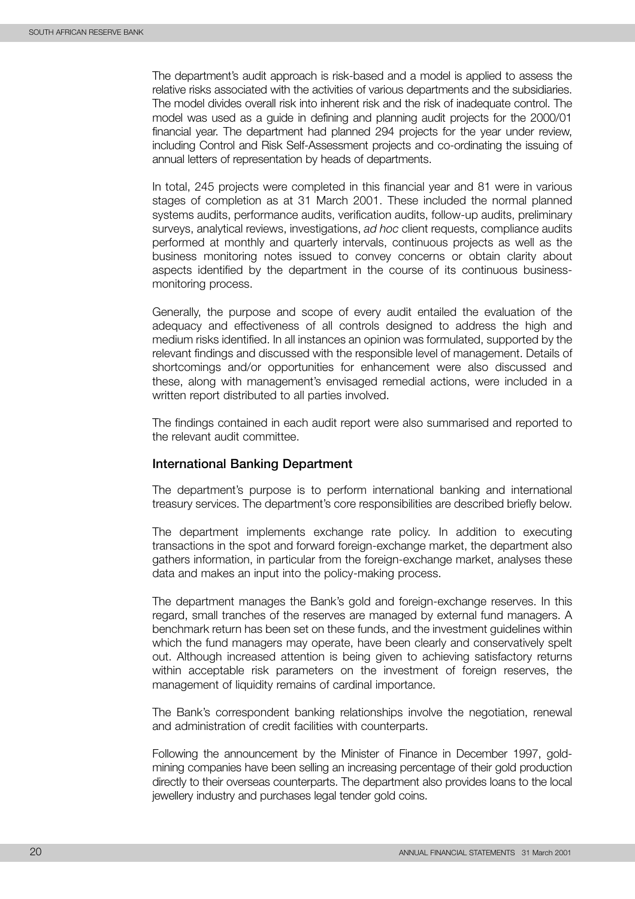The department's audit approach is risk-based and a model is applied to assess the relative risks associated with the activities of various departments and the subsidiaries. The model divides overall risk into inherent risk and the risk of inadequate control. The model was used as a guide in defining and planning audit projects for the 2000/01 financial year. The department had planned 294 projects for the year under review, including Control and Risk Self-Assessment projects and co-ordinating the issuing of annual letters of representation by heads of departments.

In total, 245 projects were completed in this financial year and 81 were in various stages of completion as at 31 March 2001. These included the normal planned systems audits, performance audits, verification audits, follow-up audits, preliminary surveys, analytical reviews, investigations, *ad hoc* client requests, compliance audits performed at monthly and quarterly intervals, continuous projects as well as the business monitoring notes issued to convey concerns or obtain clarity about aspects identified by the department in the course of its continuous businessmonitoring process.

Generally, the purpose and scope of every audit entailed the evaluation of the adequacy and effectiveness of all controls designed to address the high and medium risks identified. In all instances an opinion was formulated, supported by the relevant findings and discussed with the responsible level of management. Details of shortcomings and/or opportunities for enhancement were also discussed and these, along with management's envisaged remedial actions, were included in a written report distributed to all parties involved.

The findings contained in each audit report were also summarised and reported to the relevant audit committee.

#### **International Banking Department**

The department's purpose is to perform international banking and international treasury services. The department's core responsibilities are described briefly below.

The department implements exchange rate policy. In addition to executing transactions in the spot and forward foreign-exchange market, the department also gathers information, in particular from the foreign-exchange market, analyses these data and makes an input into the policy-making process.

The department manages the Bank's gold and foreign-exchange reserves. In this regard, small tranches of the reserves are managed by external fund managers. A benchmark return has been set on these funds, and the investment guidelines within which the fund managers may operate, have been clearly and conservatively spelt out. Although increased attention is being given to achieving satisfactory returns within acceptable risk parameters on the investment of foreign reserves, the management of liquidity remains of cardinal importance.

The Bank's correspondent banking relationships involve the negotiation, renewal and administration of credit facilities with counterparts.

Following the announcement by the Minister of Finance in December 1997, goldmining companies have been selling an increasing percentage of their gold production directly to their overseas counterparts. The department also provides loans to the local jewellery industry and purchases legal tender gold coins.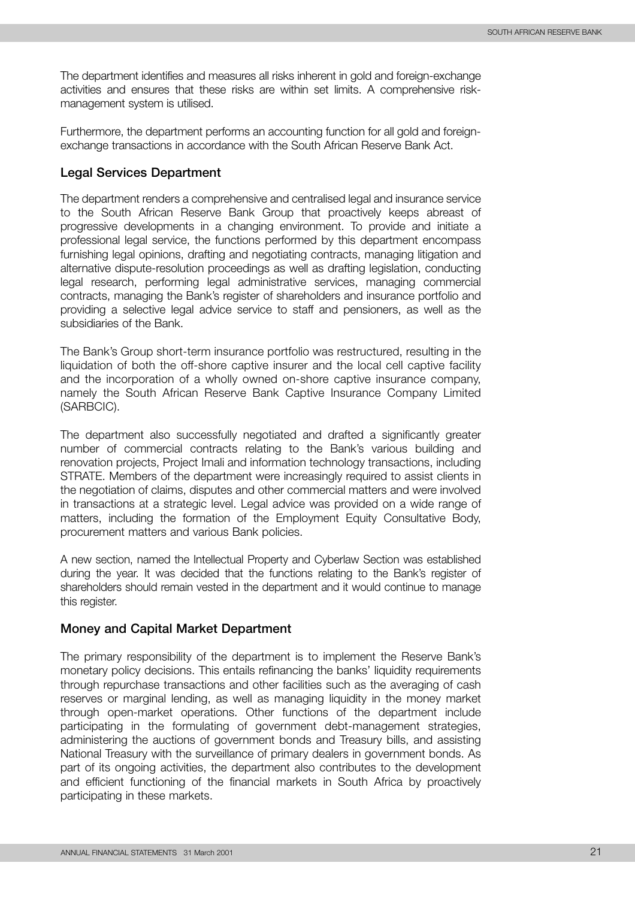The department identifies and measures all risks inherent in gold and foreign-exchange activities and ensures that these risks are within set limits. A comprehensive riskmanagement system is utilised.

Furthermore, the department performs an accounting function for all gold and foreignexchange transactions in accordance with the South African Reserve Bank Act.

#### **Legal Services Department**

The department renders a comprehensive and centralised legal and insurance service to the South African Reserve Bank Group that proactively keeps abreast of progressive developments in a changing environment. To provide and initiate a professional legal service, the functions performed by this department encompass furnishing legal opinions, drafting and negotiating contracts, managing litigation and alternative dispute-resolution proceedings as well as drafting legislation, conducting legal research, performing legal administrative services, managing commercial contracts, managing the Bank's register of shareholders and insurance portfolio and providing a selective legal advice service to staff and pensioners, as well as the subsidiaries of the Bank.

The Bank's Group short-term insurance portfolio was restructured, resulting in the liquidation of both the off-shore captive insurer and the local cell captive facility and the incorporation of a wholly owned on-shore captive insurance company, namely the South African Reserve Bank Captive Insurance Company Limited (SARBCIC).

The department also successfully negotiated and drafted a significantly greater number of commercial contracts relating to the Bank's various building and renovation projects, Project Imali and information technology transactions, including STRATE. Members of the department were increasingly required to assist clients in the negotiation of claims, disputes and other commercial matters and were involved in transactions at a strategic level. Legal advice was provided on a wide range of matters, including the formation of the Employment Equity Consultative Body, procurement matters and various Bank policies.

A new section, named the Intellectual Property and Cyberlaw Section was established during the year. It was decided that the functions relating to the Bank's register of shareholders should remain vested in the department and it would continue to manage this register.

#### **Money and Capital Market Department**

The primary responsibility of the department is to implement the Reserve Bank's monetary policy decisions. This entails refinancing the banks' liquidity requirements through repurchase transactions and other facilities such as the averaging of cash reserves or marginal lending, as well as managing liquidity in the money market through open-market operations. Other functions of the department include participating in the formulating of government debt-management strategies, administering the auctions of government bonds and Treasury bills, and assisting National Treasury with the surveillance of primary dealers in government bonds. As part of its ongoing activities, the department also contributes to the development and efficient functioning of the financial markets in South Africa by proactively participating in these markets.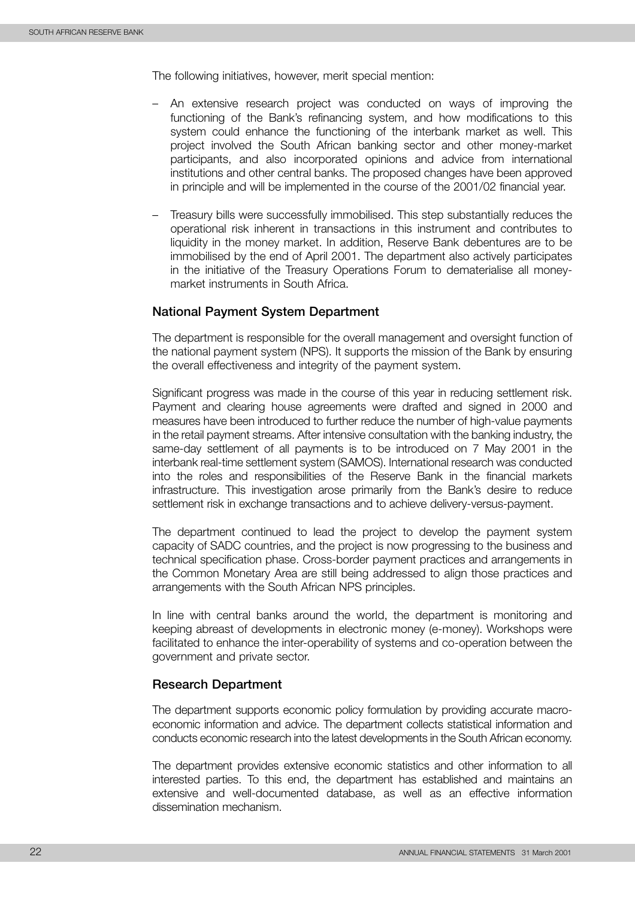The following initiatives, however, merit special mention:

- An extensive research project was conducted on ways of improving the functioning of the Bank's refinancing system, and how modifications to this system could enhance the functioning of the interbank market as well. This project involved the South African banking sector and other money-market participants, and also incorporated opinions and advice from international institutions and other central banks. The proposed changes have been approved in principle and will be implemented in the course of the 2001/02 financial year.
- Treasury bills were successfully immobilised. This step substantially reduces the operational risk inherent in transactions in this instrument and contributes to liquidity in the money market. In addition, Reserve Bank debentures are to be immobilised by the end of April 2001. The department also actively participates in the initiative of the Treasury Operations Forum to dematerialise all moneymarket instruments in South Africa.

#### **National Payment System Department**

The department is responsible for the overall management and oversight function of the national payment system (NPS). It supports the mission of the Bank by ensuring the overall effectiveness and integrity of the payment system.

Significant progress was made in the course of this year in reducing settlement risk. Payment and clearing house agreements were drafted and signed in 2000 and measures have been introduced to further reduce the number of high-value payments in the retail payment streams. After intensive consultation with the banking industry, the same-day settlement of all payments is to be introduced on 7 May 2001 in the interbank real-time settlement system (SAMOS). International research was conducted into the roles and responsibilities of the Reserve Bank in the financial markets infrastructure. This investigation arose primarily from the Bank's desire to reduce settlement risk in exchange transactions and to achieve delivery-versus-payment.

The department continued to lead the project to develop the payment system capacity of SADC countries, and the project is now progressing to the business and technical specification phase. Cross-border payment practices and arrangements in the Common Monetary Area are still being addressed to align those practices and arrangements with the South African NPS principles.

In line with central banks around the world, the department is monitoring and keeping abreast of developments in electronic money (e-money). Workshops were facilitated to enhance the inter-operability of systems and co-operation between the government and private sector.

#### **Research Department**

The department supports economic policy formulation by providing accurate macroeconomic information and advice. The department collects statistical information and conducts economic research into the latest developments in the South African economy.

The department provides extensive economic statistics and other information to all interested parties. To this end, the department has established and maintains an extensive and well-documented database, as well as an effective information dissemination mechanism.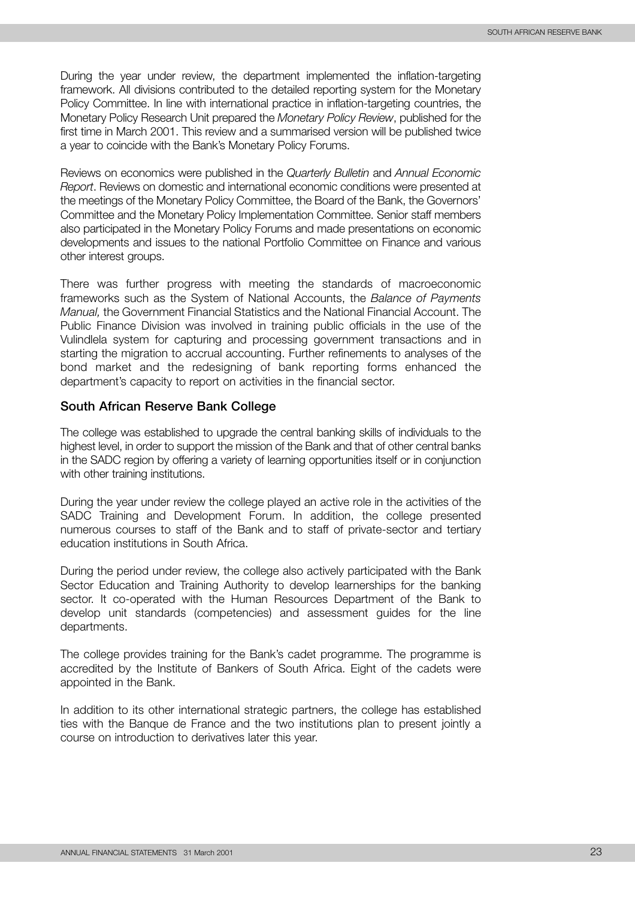During the year under review, the department implemented the inflation-targeting framework. All divisions contributed to the detailed reporting system for the Monetary Policy Committee. In line with international practice in inflation-targeting countries, the Monetary Policy Research Unit prepared the *Monetary Policy Review*, published for the first time in March 2001. This review and a summarised version will be published twice a year to coincide with the Bank's Monetary Policy Forums.

Reviews on economics were published in the *Quarterly Bulletin* and *Annual Economic Report*. Reviews on domestic and international economic conditions were presented at the meetings of the Monetary Policy Committee, the Board of the Bank, the Governors' Committee and the Monetary Policy Implementation Committee. Senior staff members also participated in the Monetary Policy Forums and made presentations on economic developments and issues to the national Portfolio Committee on Finance and various other interest groups.

There was further progress with meeting the standards of macroeconomic frameworks such as the System of National Accounts, the *Balance of Payments Manual,* the Government Financial Statistics and the National Financial Account. The Public Finance Division was involved in training public officials in the use of the Vulindlela system for capturing and processing government transactions and in starting the migration to accrual accounting. Further refinements to analyses of the bond market and the redesigning of bank reporting forms enhanced the department's capacity to report on activities in the financial sector.

#### **South African Reserve Bank College**

The college was established to upgrade the central banking skills of individuals to the highest level, in order to support the mission of the Bank and that of other central banks in the SADC region by offering a variety of learning opportunities itself or in conjunction with other training institutions.

During the year under review the college played an active role in the activities of the SADC Training and Development Forum. In addition, the college presented numerous courses to staff of the Bank and to staff of private-sector and tertiary education institutions in South Africa.

During the period under review, the college also actively participated with the Bank Sector Education and Training Authority to develop learnerships for the banking sector. It co-operated with the Human Resources Department of the Bank to develop unit standards (competencies) and assessment guides for the line departments.

The college provides training for the Bank's cadet programme. The programme is accredited by the Institute of Bankers of South Africa. Eight of the cadets were appointed in the Bank.

In addition to its other international strategic partners, the college has established ties with the Banque de France and the two institutions plan to present jointly a course on introduction to derivatives later this year.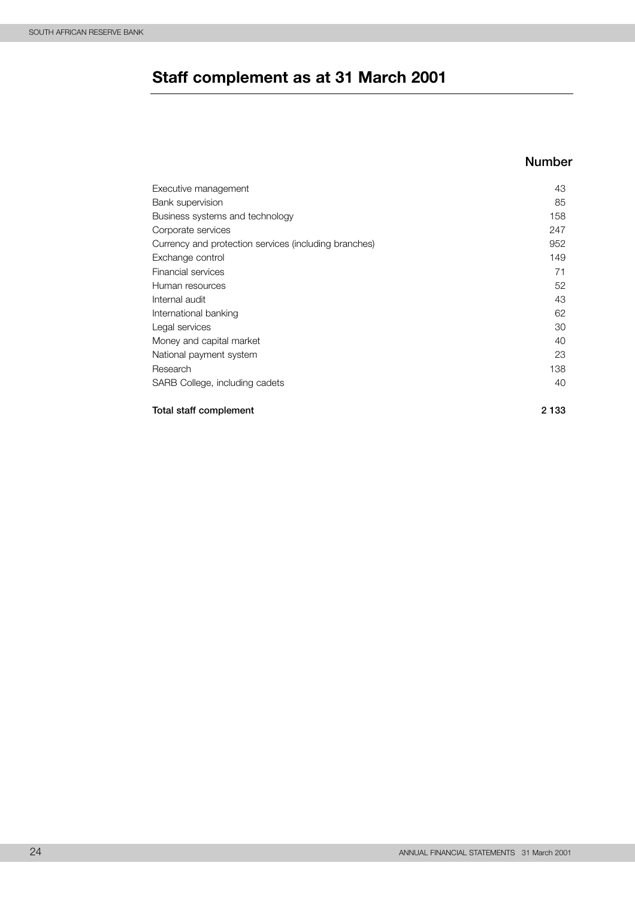# <span id="page-26-0"></span>**Staff complement as at 31 March 2001**

#### **Number**

| Executive management                                  | 43      |
|-------------------------------------------------------|---------|
| Bank supervision                                      | 85      |
| Business systems and technology                       | 158     |
| Corporate services                                    | 247     |
| Currency and protection services (including branches) | 952     |
| Exchange control                                      | 149     |
| Financial services                                    | 71      |
| Human resources                                       | 52      |
| Internal audit                                        | 43      |
| International banking                                 | 62      |
| Legal services                                        | 30      |
| Money and capital market                              | 40      |
| National payment system                               | 23      |
| Research                                              | 138     |
| SARB College, including cadets                        | 40      |
| Total staff complement                                | 2 1 3 3 |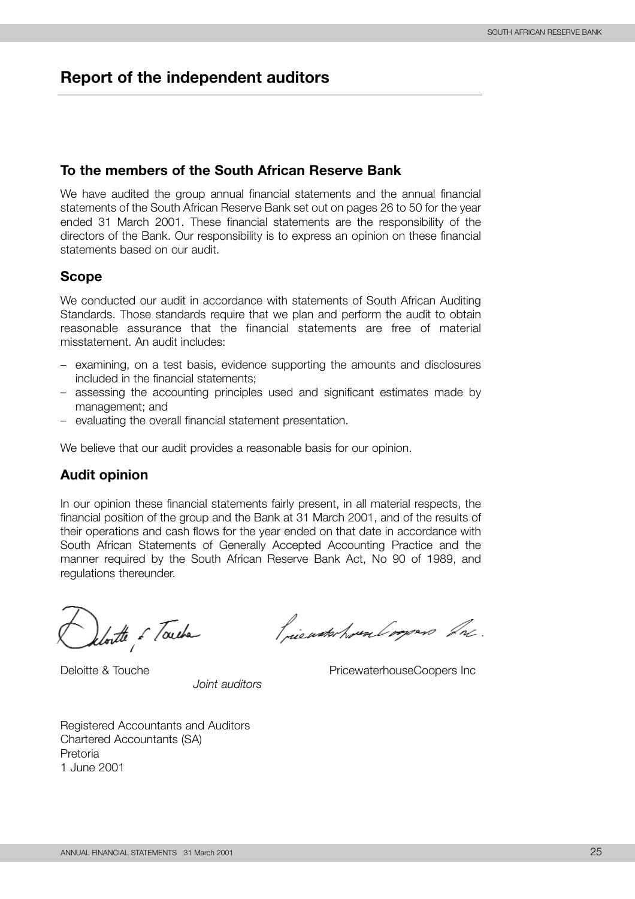## <span id="page-27-0"></span>**Report of the independent auditors**

#### **To the members of the South African Reserve Bank**

We have audited the group annual financial statements and the annual financial statements of the South African Reserve Bank set out on pages 26 to 50 for the year ended 31 March 2001. These financial statements are the responsibility of the directors of the Bank. Our responsibility is to express an opinion on these financial statements based on our audit.

#### **Scope**

We conducted our audit in accordance with statements of South African Auditing Standards. Those standards require that we plan and perform the audit to obtain reasonable assurance that the financial statements are free of material misstatement. An audit includes:

- examining, on a test basis, evidence supporting the amounts and disclosures included in the financial statements;
- assessing the accounting principles used and significant estimates made by management; and
- evaluating the overall financial statement presentation.

We believe that our audit provides a reasonable basis for our opinion.

#### **Audit opinion**

In our opinion these financial statements fairly present, in all material respects, the financial position of the group and the Bank at 31 March 2001, and of the results of their operations and cash flows for the year ended on that date in accordance with South African Statements of Generally Accepted Accounting Practice and the manner required by the South African Reserve Bank Act, No 90 of 1989, and regulations thereunder.

lortte & Touche

*Joint auditors*

frienderhouselogons In.

Deloitte & Touche **PricewaterhouseCoopers** Inc

Registered Accountants and Auditors Chartered Accountants (SA) Pretoria 1 June 2001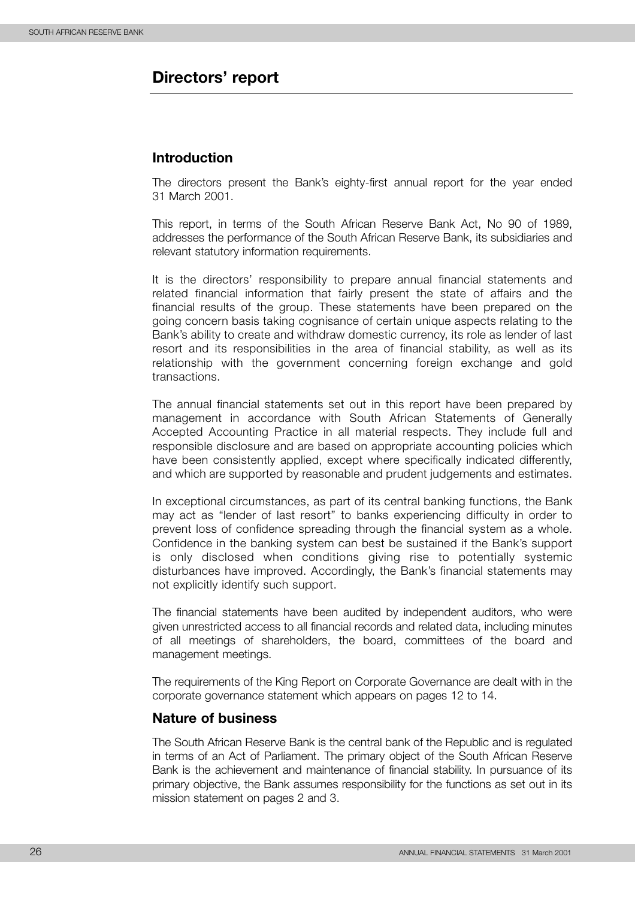# **Directors' report**

### **Introduction**

The directors present the Bank's eighty-first annual report for the year ended 31 March 2001.

This report, in terms of the South African Reserve Bank Act, No 90 of 1989, addresses the performance of the South African Reserve Bank, its subsidiaries and relevant statutory information requirements.

It is the directors' responsibility to prepare annual financial statements and related financial information that fairly present the state of affairs and the financial results of the group. These statements have been prepared on the going concern basis taking cognisance of certain unique aspects relating to the Bank's ability to create and withdraw domestic currency, its role as lender of last resort and its responsibilities in the area of financial stability, as well as its relationship with the government concerning foreign exchange and gold transactions.

The annual financial statements set out in this report have been prepared by management in accordance with South African Statements of Generally Accepted Accounting Practice in all material respects. They include full and responsible disclosure and are based on appropriate accounting policies which have been consistently applied, except where specifically indicated differently, and which are supported by reasonable and prudent judgements and estimates.

In exceptional circumstances, as part of its central banking functions, the Bank may act as "lender of last resort" to banks experiencing difficulty in order to prevent loss of confidence spreading through the financial system as a whole. Confidence in the banking system can best be sustained if the Bank's support is only disclosed when conditions giving rise to potentially systemic disturbances have improved. Accordingly, the Bank's financial statements may not explicitly identify such support.

The financial statements have been audited by independent auditors, who were given unrestricted access to all financial records and related data, including minutes of all meetings of shareholders, the board, committees of the board and management meetings.

The requirements of the King Report on Corporate Governance are dealt with in the corporate governance statement which appears on pages 12 to 14.

### **Nature of business**

The South African Reserve Bank is the central bank of the Republic and is regulated in terms of an Act of Parliament. The primary object of the South African Reserve Bank is the achievement and maintenance of financial stability. In pursuance of its primary objective, the Bank assumes responsibility for the functions as set out in its mission statement on pages 2 and 3.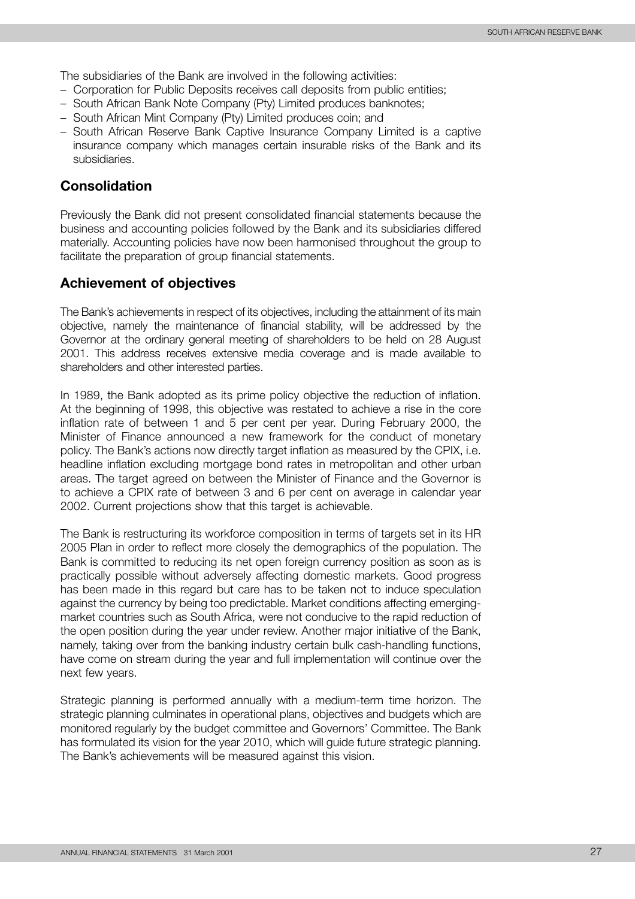The subsidiaries of the Bank are involved in the following activities:

- Corporation for Public Deposits receives call deposits from public entities;
- South African Bank Note Company (Pty) Limited produces banknotes;
- South African Mint Company (Pty) Limited produces coin; and
- South African Reserve Bank Captive Insurance Company Limited is a captive insurance company which manages certain insurable risks of the Bank and its subsidiaries.

#### **Consolidation**

Previously the Bank did not present consolidated financial statements because the business and accounting policies followed by the Bank and its subsidiaries differed materially. Accounting policies have now been harmonised throughout the group to facilitate the preparation of group financial statements.

#### **Achievement of objectives**

The Bank's achievements in respect of its objectives, including the attainment of its main objective, namely the maintenance of financial stability, will be addressed by the Governor at the ordinary general meeting of shareholders to be held on 28 August 2001. This address receives extensive media coverage and is made available to shareholders and other interested parties.

In 1989, the Bank adopted as its prime policy objective the reduction of inflation. At the beginning of 1998, this objective was restated to achieve a rise in the core inflation rate of between 1 and 5 per cent per year. During February 2000, the Minister of Finance announced a new framework for the conduct of monetary policy. The Bank's actions now directly target inflation as measured by the CPIX, i.e. headline inflation excluding mortgage bond rates in metropolitan and other urban areas. The target agreed on between the Minister of Finance and the Governor is to achieve a CPIX rate of between 3 and 6 per cent on average in calendar year 2002. Current projections show that this target is achievable.

The Bank is restructuring its workforce composition in terms of targets set in its HR 2005 Plan in order to reflect more closely the demographics of the population. The Bank is committed to reducing its net open foreign currency position as soon as is practically possible without adversely affecting domestic markets. Good progress has been made in this regard but care has to be taken not to induce speculation against the currency by being too predictable. Market conditions affecting emergingmarket countries such as South Africa, were not conducive to the rapid reduction of the open position during the year under review. Another major initiative of the Bank, namely, taking over from the banking industry certain bulk cash-handling functions, have come on stream during the year and full implementation will continue over the next few years.

Strategic planning is performed annually with a medium-term time horizon. The strategic planning culminates in operational plans, objectives and budgets which are monitored regularly by the budget committee and Governors' Committee. The Bank has formulated its vision for the year 2010, which will guide future strategic planning. The Bank's achievements will be measured against this vision.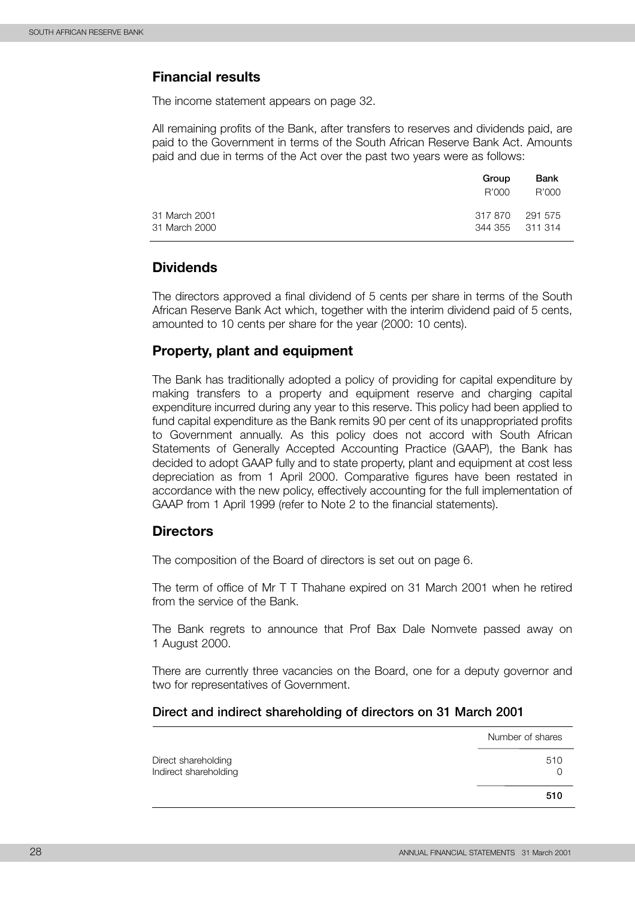### **Financial results**

The income statement appears on page 32.

All remaining profits of the Bank, after transfers to reserves and dividends paid, are paid to the Government in terms of the South African Reserve Bank Act. Amounts paid and due in terms of the Act over the past two years were as follows:

|                                | Group                      | Bank    |
|--------------------------------|----------------------------|---------|
|                                | R'000                      | R'000   |
| 31 March 2001<br>31 March 2000 | 317 870<br>344 355 311 314 | 291 575 |
|                                |                            |         |

#### **Dividends**

The directors approved a final dividend of 5 cents per share in terms of the South African Reserve Bank Act which, together with the interim dividend paid of 5 cents, amounted to 10 cents per share for the year (2000: 10 cents).

#### **Property, plant and equipment**

The Bank has traditionally adopted a policy of providing for capital expenditure by making transfers to a property and equipment reserve and charging capital expenditure incurred during any year to this reserve. This policy had been applied to fund capital expenditure as the Bank remits 90 per cent of its unappropriated profits to Government annually. As this policy does not accord with South African Statements of Generally Accepted Accounting Practice (GAAP), the Bank has decided to adopt GAAP fully and to state property, plant and equipment at cost less depreciation as from 1 April 2000. Comparative figures have been restated in accordance with the new policy, effectively accounting for the full implementation of GAAP from 1 April 1999 (refer to Note 2 to the financial statements).

#### **Directors**

The composition of the Board of directors is set out on page 6.

The term of office of Mr T T Thahane expired on 31 March 2001 when he retired from the service of the Bank.

The Bank regrets to announce that Prof Bax Dale Nomvete passed away on 1 August 2000.

There are currently three vacancies on the Board, one for a deputy governor and two for representatives of Government.

#### **Direct and indirect shareholding of directors on 31 March 2001**

|                                              | Number of shares |
|----------------------------------------------|------------------|
| Direct shareholding<br>Indirect shareholding | 510              |
|                                              | 510              |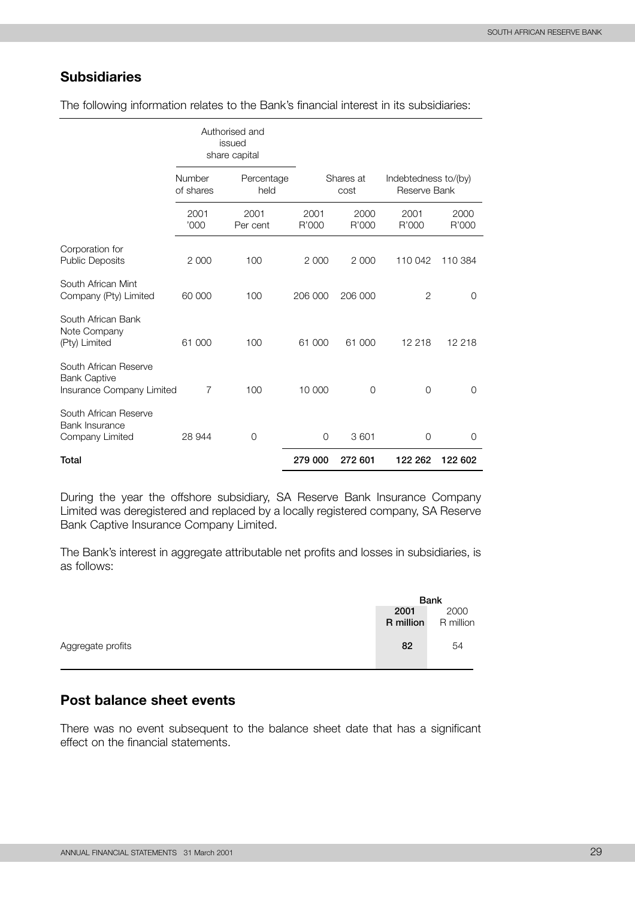# **Subsidiaries**

The following information relates to the Bank's financial interest in its subsidiaries:

|                                                                           |                                           | Authorised and<br>issued<br>share capital |               |                   |                                      |               |
|---------------------------------------------------------------------------|-------------------------------------------|-------------------------------------------|---------------|-------------------|--------------------------------------|---------------|
|                                                                           | Number<br>Percentage<br>of shares<br>held |                                           |               | Shares at<br>cost | Indebtedness to/(by)<br>Reserve Bank |               |
|                                                                           | 2001<br>'000                              | 2001<br>Per cent                          | 2001<br>R'000 | 2000<br>R'000     | 2001<br>R'000                        | 2000<br>R'000 |
| Corporation for<br><b>Public Deposits</b>                                 | 2 0 0 0                                   | 100                                       | 2 0 0 0       | 2 000             | 110 042                              | 110 384       |
| South African Mint<br>Company (Pty) Limited                               | 60 000                                    | 100                                       | 206 000       | 206 000           | 2                                    | 0             |
| South African Bank<br>Note Company<br>(Pty) Limited                       | 61 000                                    | 100                                       | 61 000        | 61 000            | 12 218                               | 12 218        |
| South African Reserve<br><b>Bank Captive</b><br>Insurance Company Limited | 7                                         | 100                                       | 10 000        | $\Omega$          | $\Omega$                             | $\Omega$      |
| South African Reserve<br><b>Bank Insurance</b><br>Company Limited         | 28 944                                    | $\Omega$                                  | $\Omega$      | 3601              | $\Omega$                             | $\Omega$      |
| Total                                                                     |                                           |                                           | 279 000       | 272 601           | 122 262                              | 122 602       |

During the year the offshore subsidiary, SA Reserve Bank Insurance Company Limited was deregistered and replaced by a locally registered company, SA Reserve Bank Captive Insurance Company Limited.

The Bank's interest in aggregate attributable net profits and losses in subsidiaries, is as follows:

|                   | <b>Bank</b> |           |  |
|-------------------|-------------|-----------|--|
|                   | 2001        | 2000      |  |
|                   | R million   | R million |  |
| Aggregate profits | 82          | 54        |  |

# **Post balance sheet events**

There was no event subsequent to the balance sheet date that has a significant effect on the financial statements.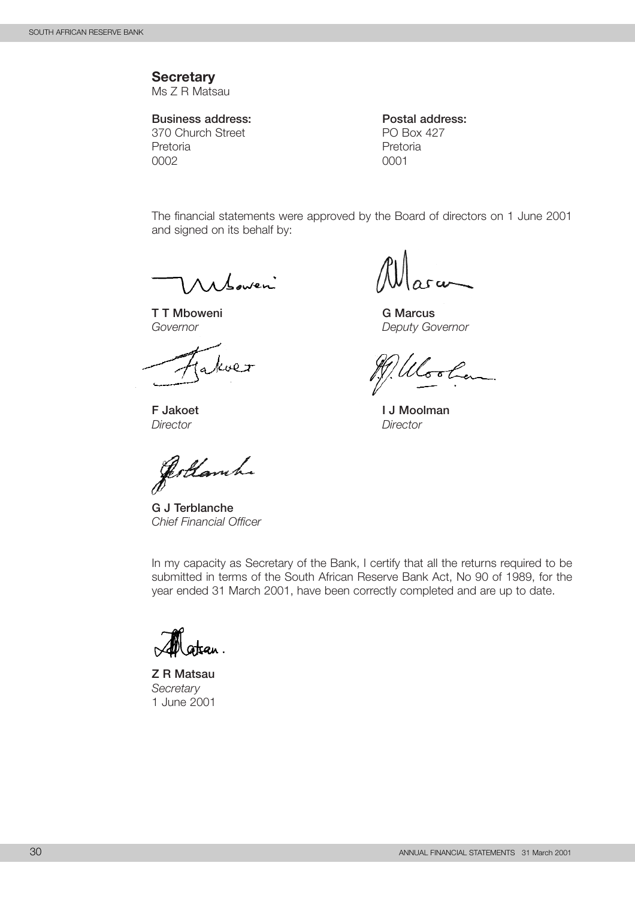#### **Secretary**

Ms Z R Matsau

370 Church Street PO Box 427 Pretoria **Pretoria** Pretoria 0002 0001

**Business address: Postal address:**

The financial statements were approved by the Board of directors on 1 June 2001 and signed on its behalf by:

1 Sower

**T T Mboweni G Marcus**

*Director Director*

Jertlamh.

**G J Terblanche** *Chief Financial Officer*

In my capacity as Secretary of the Bank, I certify that all the returns required to be submitted in terms of the South African Reserve Bank Act, No 90 of 1989, for the year ended 31 March 2001, have been correctly completed and are up to date.

**M** atsan

**Z R Matsau** *Secretary* 1 June 2001

 $r \omega$ 

*Governor Deputy Governor*

Moolen

**F Jakoet I J Moolman**

30 ANNUAL FINANCIAL STATEMENTS 31 March 2001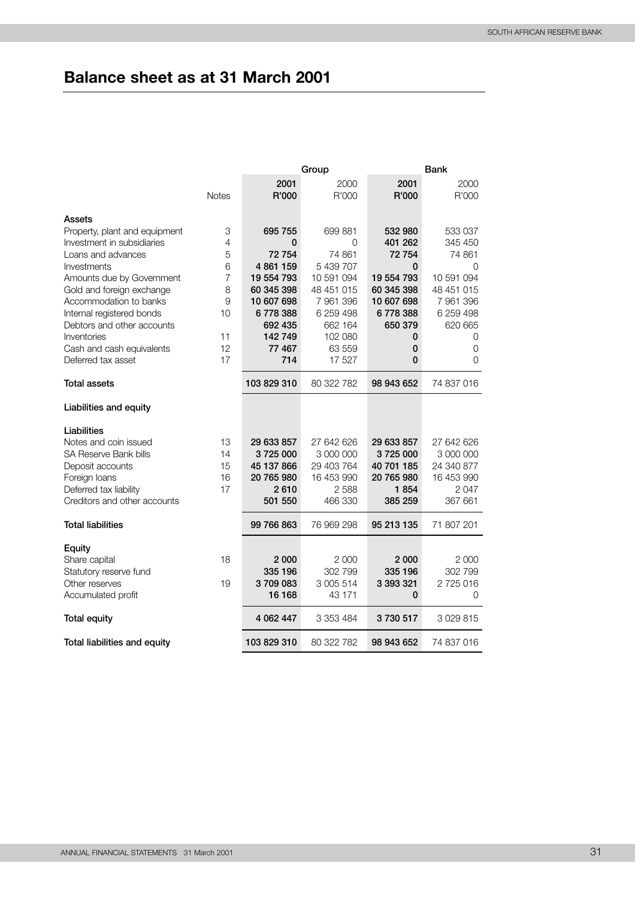# <span id="page-33-0"></span>**Balance sheet as at 31 March 2001**

|                                                        |              | Bank<br>Group      |                       |                    |                    |  |
|--------------------------------------------------------|--------------|--------------------|-----------------------|--------------------|--------------------|--|
|                                                        |              | 2001               | 2000                  | 2001               | 2000               |  |
|                                                        | <b>Notes</b> | R'000              | R'000                 | R'000              | R'000              |  |
|                                                        |              |                    |                       |                    |                    |  |
| Assets                                                 |              |                    |                       |                    |                    |  |
| Property, plant and equipment                          | 3            | 695 755            | 699 881               | 532 980            | 533 037            |  |
| Investment in subsidiaries                             | 4            | 0                  | 0                     | 401 262            | 345 450            |  |
| Loans and advances                                     | 5            | 72 754             | 74 861                | 72 754             | 74 861             |  |
| Investments                                            | 6            | 4 861 159          | 5 439 707             | 0                  | $\Omega$           |  |
| Amounts due by Government                              | 7            | 19 554 793         | 10 591 094            | 19 554 793         | 10 591 094         |  |
| Gold and foreign exchange                              | 8            | 60 345 398         | 48 451 015            | 60 345 398         | 48 451 015         |  |
| Accommodation to banks                                 | 9            | 10 607 698         | 7 961 396             | 10 607 698         | 7 961 396          |  |
| Internal registered bonds                              | 10           | 6778388            | 6 259 498             | 6778388            | 6 259 498          |  |
| Debtors and other accounts                             |              | 692 435            | 662 164               | 650 379            | 620 665            |  |
| Inventories                                            | 11           | 142749             | 102 080               | 0                  | 0                  |  |
| Cash and cash equivalents                              | 12           | 77467              | 63 559                | 0                  | 0                  |  |
| Deferred tax asset                                     | 17           | 714                | 17 527                | 0                  | 0                  |  |
| <b>Total assets</b>                                    |              | 103 829 310        | 80 322 782            | 98 943 652         | 74 837 016         |  |
|                                                        |              |                    |                       |                    |                    |  |
| Liabilities and equity                                 |              |                    |                       |                    |                    |  |
|                                                        |              |                    |                       |                    |                    |  |
| Liabilities                                            |              |                    |                       |                    |                    |  |
| Notes and coin issued                                  | 13           | 29 633 857         | 27 642 626            | 29 633 857         | 27 642 626         |  |
| SA Reserve Bank bills                                  | 14           | 3725000            | 3 000 000             | 3725000            | 3 000 000          |  |
| Deposit accounts                                       | 15<br>16     | 45 137 866         | 29 403 764            | 40 701 185         | 24 340 877         |  |
| Foreign Ioans                                          | 17           | 20 765 980<br>2610 | 16 453 990<br>2 5 8 8 | 20 765 980<br>1854 | 16 453 990<br>2047 |  |
| Deferred tax liability<br>Creditors and other accounts |              | 501 550            | 466 330               | 385 259            | 367 661            |  |
|                                                        |              |                    |                       |                    |                    |  |
| Total liabilities                                      |              | 99 766 863         | 76 969 298            | 95 213 135         | 71 807 201         |  |
| Equity                                                 |              |                    |                       |                    |                    |  |
| Share capital                                          | 18           | 2 0 0 0            | 2 0 0 0               | 2 0 0 0            | 2 0 0 0            |  |
| Statutory reserve fund                                 |              | 335 196            | 302 799               | 335 196            | 302 799            |  |
| Other reserves                                         | 19           | 3709083            | 3 005 514             | 3 393 321          | 2 725 016          |  |
| Accumulated profit                                     |              | 16 168             | 43 171                | 0                  | O                  |  |
|                                                        |              |                    |                       |                    |                    |  |
| <b>Total equity</b>                                    |              | 4 062 447          | 3 353 484             | 3730517            | 3 0 29 8 15        |  |
| Total liabilities and equity                           |              | 103 829 310        | 80 322 782            | 98 943 652         | 74 837 016         |  |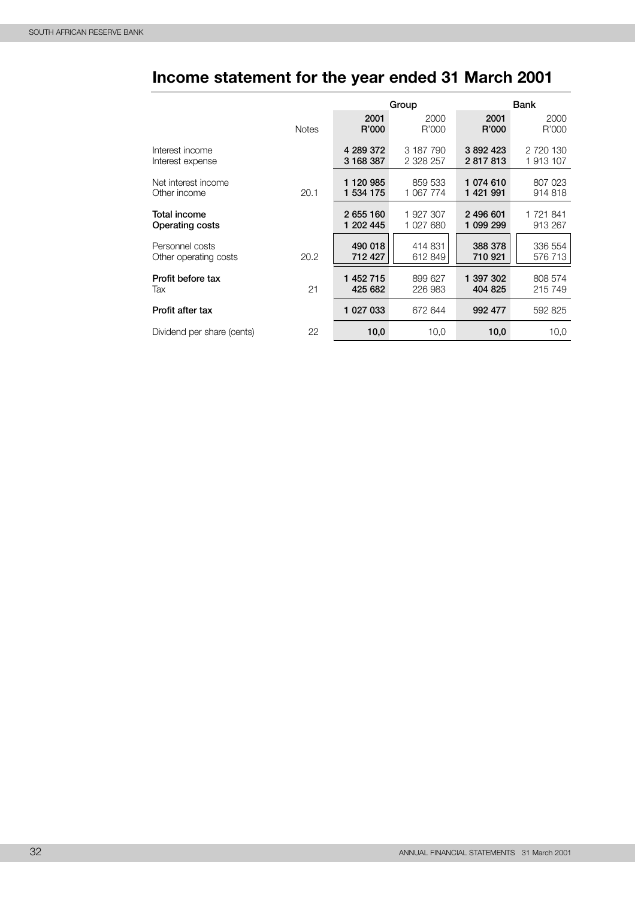# <span id="page-34-0"></span>**Income statement for the year ended 31 March 2001**

|                            |              | Group         |               |               | Bank          |  |
|----------------------------|--------------|---------------|---------------|---------------|---------------|--|
|                            | <b>Notes</b> | 2001<br>R'000 | 2000<br>R'000 | 2001<br>R'000 | 2000<br>R'000 |  |
| Interest income            |              | 4 289 372     | 3 187 790     | 3892423       | 2 720 130     |  |
| Interest expense           |              | 3 168 387     | 2 328 257     | 2817813       | 1913107       |  |
| Net interest income        | 20.1         | 1 120 985     | 859 533       | 1 074 610     | 807 023       |  |
| Other income               |              | 1 534 175     | 1 067 774     | 1421991       | 914 818       |  |
| Total income               |              | 2 655 160     | 1 927 307     | 2 496 601     | 1 721 841     |  |
| <b>Operating costs</b>     |              | 1 202 445     | 1 027 680     | 1 099 299     | 913 267       |  |
| Personnel costs            | 20.2         | 490 018       | 414 831       | 388 378       | 336 554       |  |
| Other operating costs      |              | 712 427       | 612 849       | 710 921       | 576 713       |  |
| Profit before tax          | 21           | 1 452 715     | 899 627       | 1 397 302     | 808 574       |  |
| Tax                        |              | 425 682       | 226 983       | 404 825       | 215 749       |  |
| Profit after tax           |              | 1 027 033     | 672 644       | 992 477       | 592 825       |  |
| Dividend per share (cents) | 22           | 10,0          | 10,0          | 10,0          | 10,0          |  |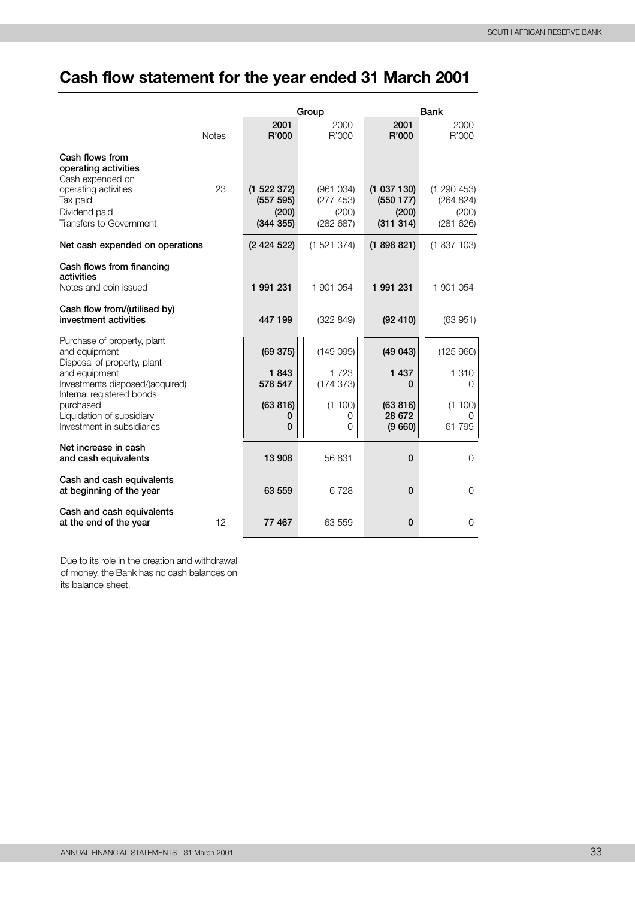# <span id="page-35-0"></span>**Cash flow statement for the year ended 31 March 2001**

|                                                                                                                  |              | Group                           |                                |                                | <b>Bank</b>                  |  |
|------------------------------------------------------------------------------------------------------------------|--------------|---------------------------------|--------------------------------|--------------------------------|------------------------------|--|
|                                                                                                                  | <b>Notes</b> | 2001<br>R'000                   | 2000<br>R'000                  | 2001<br>R'000                  | 2000<br>R'000                |  |
| Cash flows from<br>operating activities<br>Cash expended on<br>operating activities<br>Tax paid<br>Dividend paid | 23           | (1522372)<br>(557 595)<br>(200) | (961034)<br>(277 453)<br>(200) | (1037130)<br>(550177)<br>(200) | (1290453)<br>(264 824)       |  |
| Transfers to Government                                                                                          |              | (344355)                        | (282687)                       | (311314)                       | (200)<br>(281 626)           |  |
| Net cash expended on operations                                                                                  |              | (2424522)                       | (1 521 374)                    | (1898821)                      | (1837103)                    |  |
| Cash flows from financing<br>activities<br>Notes and coin issued                                                 |              | 1 991 231                       | 1 901 054                      | 1 991 231                      | 1 901 054                    |  |
| Cash flow from/(utilised by)<br>investment activities                                                            |              | 447 199                         | (322 849)                      | (92, 410)                      | (63951)                      |  |
| Purchase of property, plant<br>and equipment<br>Disposal of property, plant                                      |              | (69 375)                        | (14909)                        | (49043)                        | (125960)                     |  |
| and equipment<br>Investments disposed/(acquired)<br>Internal registered bonds                                    |              | 1843<br>578 547                 | 1 7 2 3<br>(174373)            | 1 4 3 7<br>0                   | 1 310<br>O                   |  |
| purchased<br>Liquidation of subsidiary<br>Investment in subsidiaries                                             |              | (63 816)<br>0<br>0              | (1 100)<br>0<br>$\mathbf 0$    | (63 816)<br>28 672<br>(9660)   | (1 100)<br>$\Omega$<br>61799 |  |
| Net increase in cash<br>and cash equivalents                                                                     |              | 13 908                          | 56 831                         | $\mathbf 0$                    | 0                            |  |
| Cash and cash equivalents<br>at beginning of the year                                                            |              | 63 559                          | 6728                           | $\mathbf{0}$                   | $\Omega$                     |  |
| Cash and cash equivalents<br>at the end of the year                                                              | 12           | 77 467                          | 63 559                         | $\mathbf 0$                    | $\Omega$                     |  |

Due to its role in the creation and withdrawal of money, the Bank has no cash balances on its balance sheet.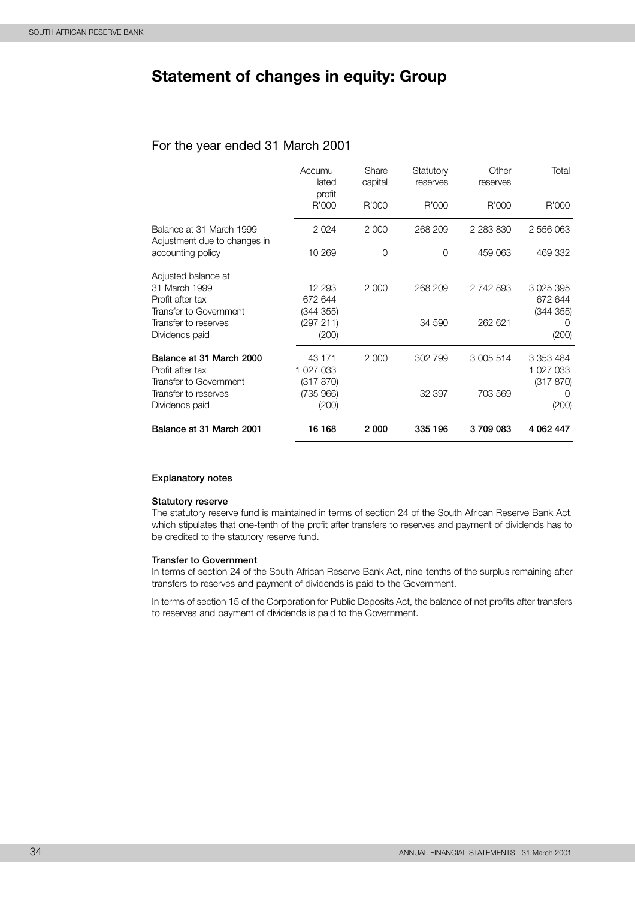# <span id="page-36-0"></span>**Statement of changes in equity: Group**

#### For the year ended 31 March 2001

|                                                          | Accumu-<br>lated<br>profit | Share<br>capital | Statutory<br>reserves | Other<br>reserves | Total                  |
|----------------------------------------------------------|----------------------------|------------------|-----------------------|-------------------|------------------------|
|                                                          | R'000                      | R'000            | R'000                 | R'000             | R'000                  |
| Balance at 31 March 1999<br>Adjustment due to changes in | 2024                       | 2 0 0 0          | 268 209               | 2 2 8 3 8 3 0     | 2 556 063              |
| accounting policy                                        | 10 269                     | 0                | $\Omega$              | 459 063           | 469 332                |
| Adjusted balance at                                      |                            |                  |                       |                   |                        |
| 31 March 1999                                            | 12 293                     | 2 0 0 0          | 268 209               | 2 742 893         | 3 025 395              |
| Profit after tax<br>Transfer to Government               | 672 644<br>(344 355)       |                  |                       |                   | 672 644<br>(344 355)   |
| Transfer to reserves                                     | (297 211)                  |                  | 34 590                | 262 621           | $\Omega$               |
| Dividends paid                                           | (200)                      |                  |                       |                   | (200)                  |
| Balance at 31 March 2000<br>Profit after tax             | 43 171<br>1 027 033        | 2 0 0 0          | 302 799               | 3 005 514         | 3 353 484<br>1 027 033 |
| Transfer to Government<br>Transfer to reserves           | (317 870)<br>(735 966)     |                  | 32 397                | 703 569           | (317 870)<br>∩         |
| Dividends paid                                           | (200)                      |                  |                       |                   | (200)                  |
| Balance at 31 March 2001                                 | 16 168                     | 2 000            | 335 196               | 3709083           | 4 062 447              |

#### **Explanatory notes**

#### **Statutory reserve**

The statutory reserve fund is maintained in terms of section 24 of the South African Reserve Bank Act, which stipulates that one-tenth of the profit after transfers to reserves and payment of dividends has to be credited to the statutory reserve fund.

#### **Transfer to Government**

In terms of section 24 of the South African Reserve Bank Act, nine-tenths of the surplus remaining after transfers to reserves and payment of dividends is paid to the Government.

In terms of section 15 of the Corporation for Public Deposits Act, the balance of net profits after transfers to reserves and payment of dividends is paid to the Government.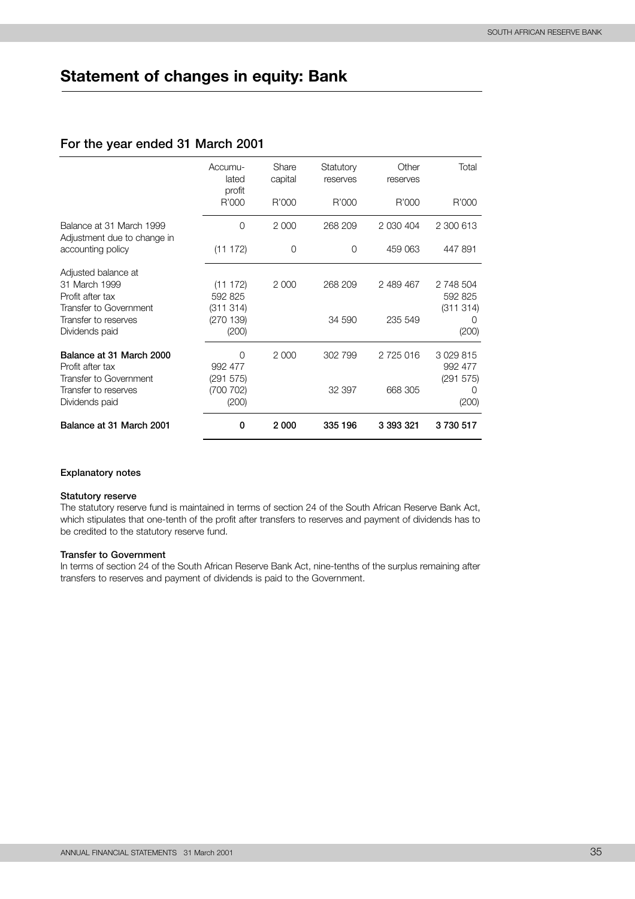# <span id="page-37-0"></span>**Statement of changes in equity: Bank**

#### **For the year ended 31 March 2001**

|                                                         | Accumu-<br>lated<br>profit | Share<br>capital | Statutory<br>reserves | Other<br>reserves | Total     |
|---------------------------------------------------------|----------------------------|------------------|-----------------------|-------------------|-----------|
|                                                         | R'000                      | R'000            | R'000                 | R'000             | R'000     |
| Balance at 31 March 1999<br>Adjustment due to change in | $\Omega$                   | 2 0 0 0          | 268 209               | 2 030 404         | 2 300 613 |
| accounting policy                                       | (11 172)                   | $\Omega$         | O                     | 459 063           | 447891    |
| Adjusted balance at                                     |                            |                  |                       |                   |           |
| 31 March 1999                                           | (11 172)                   | 2 0 0 0          | 268 209               | 2 489 467         | 2 748 504 |
| Profit after tax                                        | 592 825                    |                  |                       |                   | 592 825   |
| Transfer to Government                                  | (311314)                   |                  |                       |                   | (311314)  |
| Transfer to reserves                                    | (270139)                   |                  | 34 590                | 235 549           | $\Omega$  |
| Dividends paid                                          | (200)                      |                  |                       |                   | (200)     |
| Balance at 31 March 2000                                | $\cap$                     | 2 0 0 0          | 302 799               | 2 725 016         | 3029815   |
| Profit after tax                                        | 992 477                    |                  |                       |                   | 992 477   |
| Transfer to Government                                  | (291 575)                  |                  |                       |                   | (291 575) |
| Transfer to reserves                                    | (700 702)                  |                  | 32 397                | 668 305           | $\Omega$  |
| Dividends paid                                          | (200)                      |                  |                       |                   | (200)     |
| Balance at 31 March 2001                                | 0                          | 2000             | 335 196               | 3 393 321         | 3730517   |

#### **Explanatory notes**

#### **Statutory reserve**

The statutory reserve fund is maintained in terms of section 24 of the South African Reserve Bank Act, which stipulates that one-tenth of the profit after transfers to reserves and payment of dividends has to be credited to the statutory reserve fund.

#### **Transfer to Government**

In terms of section 24 of the South African Reserve Bank Act, nine-tenths of the surplus remaining after transfers to reserves and payment of dividends is paid to the Government.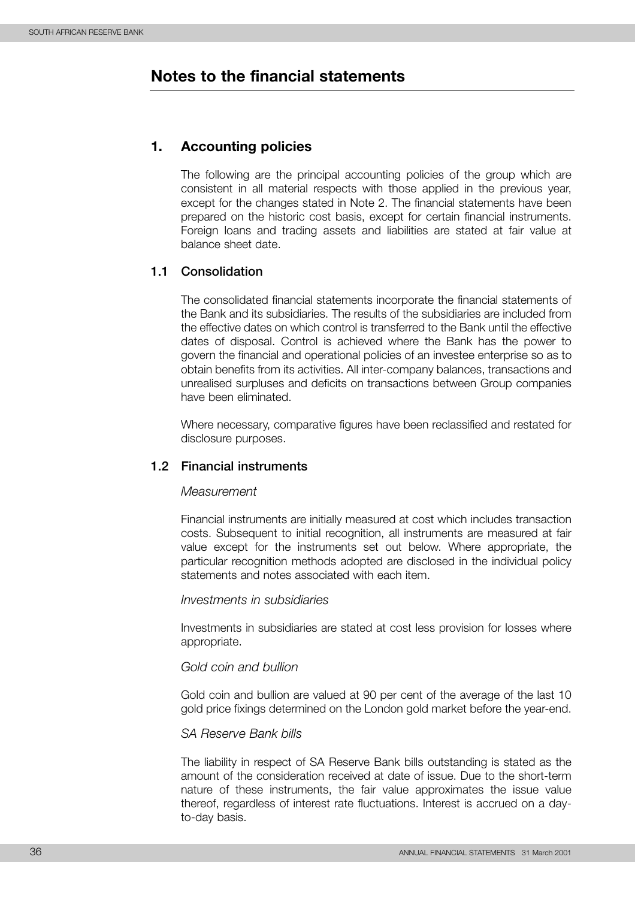# <span id="page-38-0"></span>**Notes to the financial statements**

#### **1. Accounting policies**

The following are the principal accounting policies of the group which are consistent in all material respects with those applied in the previous year, except for the changes stated in Note 2. The financial statements have been prepared on the historic cost basis, except for certain financial instruments. Foreign loans and trading assets and liabilities are stated at fair value at balance sheet date.

#### **1.1 Consolidation**

The consolidated financial statements incorporate the financial statements of the Bank and its subsidiaries. The results of the subsidiaries are included from the effective dates on which control is transferred to the Bank until the effective dates of disposal. Control is achieved where the Bank has the power to govern the financial and operational policies of an investee enterprise so as to obtain benefits from its activities. All inter-company balances, transactions and unrealised surpluses and deficits on transactions between Group companies have been eliminated.

Where necessary, comparative figures have been reclassified and restated for disclosure purposes.

#### **1.2 Financial instruments**

#### *Measurement*

Financial instruments are initially measured at cost which includes transaction costs. Subsequent to initial recognition, all instruments are measured at fair value except for the instruments set out below. Where appropriate, the particular recognition methods adopted are disclosed in the individual policy statements and notes associated with each item.

#### *Investments in subsidiaries*

Investments in subsidiaries are stated at cost less provision for losses where appropriate.

#### *Gold coin and bullion*

Gold coin and bullion are valued at 90 per cent of the average of the last 10 gold price fixings determined on the London gold market before the year-end.

#### *SA Reserve Bank bills*

The liability in respect of SA Reserve Bank bills outstanding is stated as the amount of the consideration received at date of issue. Due to the short-term nature of these instruments, the fair value approximates the issue value thereof, regardless of interest rate fluctuations. Interest is accrued on a dayto-day basis.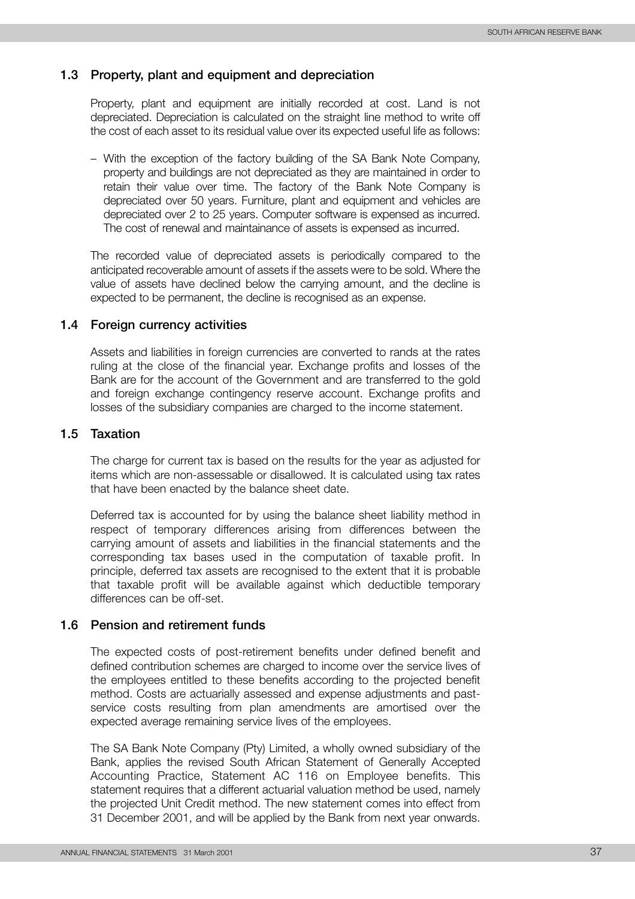#### **1.3 Property, plant and equipment and depreciation**

Property, plant and equipment are initially recorded at cost. Land is not depreciated. Depreciation is calculated on the straight line method to write off the cost of each asset to its residual value over its expected useful life as follows:

– With the exception of the factory building of the SA Bank Note Company, property and buildings are not depreciated as they are maintained in order to retain their value over time. The factory of the Bank Note Company is depreciated over 50 years. Furniture, plant and equipment and vehicles are depreciated over 2 to 25 years. Computer software is expensed as incurred. The cost of renewal and maintainance of assets is expensed as incurred.

The recorded value of depreciated assets is periodically compared to the anticipated recoverable amount of assets if the assets were to be sold. Where the value of assets have declined below the carrying amount, and the decline is expected to be permanent, the decline is recognised as an expense.

#### **1.4 Foreign currency activities**

Assets and liabilities in foreign currencies are converted to rands at the rates ruling at the close of the financial year. Exchange profits and losses of the Bank are for the account of the Government and are transferred to the gold and foreign exchange contingency reserve account. Exchange profits and losses of the subsidiary companies are charged to the income statement.

#### **1.5 Taxation**

The charge for current tax is based on the results for the year as adjusted for items which are non-assessable or disallowed. It is calculated using tax rates that have been enacted by the balance sheet date.

Deferred tax is accounted for by using the balance sheet liability method in respect of temporary differences arising from differences between the carrying amount of assets and liabilities in the financial statements and the corresponding tax bases used in the computation of taxable profit. In principle, deferred tax assets are recognised to the extent that it is probable that taxable profit will be available against which deductible temporary differences can be off-set.

#### **1.6 Pension and retirement funds**

The expected costs of post-retirement benefits under defined benefit and defined contribution schemes are charged to income over the service lives of the employees entitled to these benefits according to the projected benefit method. Costs are actuarially assessed and expense adjustments and pastservice costs resulting from plan amendments are amortised over the expected average remaining service lives of the employees.

The SA Bank Note Company (Pty) Limited, a wholly owned subsidiary of the Bank, applies the revised South African Statement of Generally Accepted Accounting Practice, Statement AC 116 on Employee benefits. This statement requires that a different actuarial valuation method be used, namely the projected Unit Credit method. The new statement comes into effect from 31 December 2001, and will be applied by the Bank from next year onwards.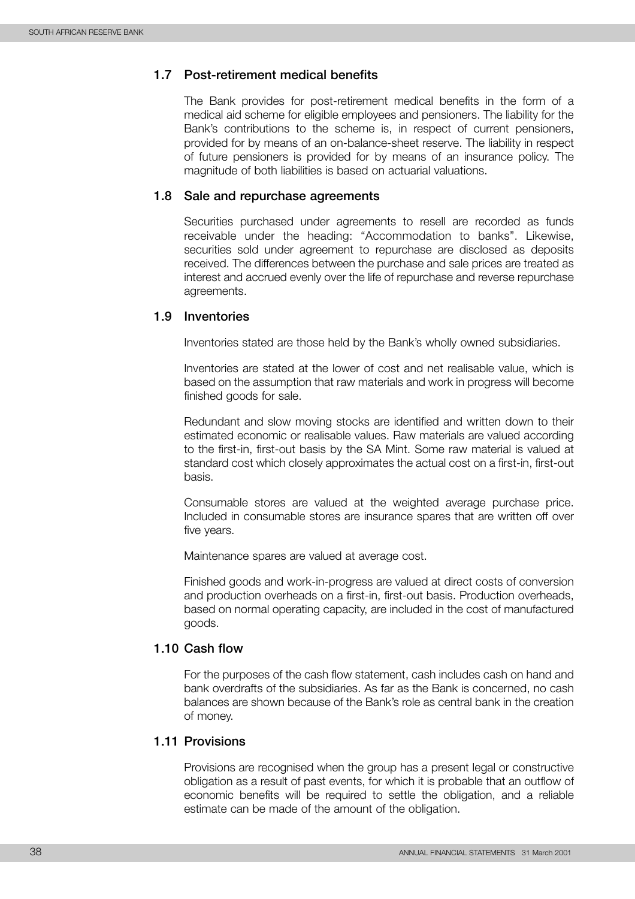#### **1.7 Post-retirement medical benefits**

The Bank provides for post-retirement medical benefits in the form of a medical aid scheme for eligible employees and pensioners. The liability for the Bank's contributions to the scheme is, in respect of current pensioners, provided for by means of an on-balance-sheet reserve. The liability in respect of future pensioners is provided for by means of an insurance policy. The magnitude of both liabilities is based on actuarial valuations.

#### **1.8 Sale and repurchase agreements**

Securities purchased under agreements to resell are recorded as funds receivable under the heading: "Accommodation to banks". Likewise, securities sold under agreement to repurchase are disclosed as deposits received. The differences between the purchase and sale prices are treated as interest and accrued evenly over the life of repurchase and reverse repurchase agreements.

#### **1.9 Inventories**

Inventories stated are those held by the Bank's wholly owned subsidiaries.

Inventories are stated at the lower of cost and net realisable value, which is based on the assumption that raw materials and work in progress will become finished goods for sale.

Redundant and slow moving stocks are identified and written down to their estimated economic or realisable values. Raw materials are valued according to the first-in, first-out basis by the SA Mint. Some raw material is valued at standard cost which closely approximates the actual cost on a first-in, first-out basis.

Consumable stores are valued at the weighted average purchase price. Included in consumable stores are insurance spares that are written off over five years.

Maintenance spares are valued at average cost.

Finished goods and work-in-progress are valued at direct costs of conversion and production overheads on a first-in, first-out basis. Production overheads, based on normal operating capacity, are included in the cost of manufactured goods.

#### **1.10 Cash flow**

For the purposes of the cash flow statement, cash includes cash on hand and bank overdrafts of the subsidiaries. As far as the Bank is concerned, no cash balances are shown because of the Bank's role as central bank in the creation of money.

#### **1.11 Provisions**

Provisions are recognised when the group has a present legal or constructive obligation as a result of past events, for which it is probable that an outflow of economic benefits will be required to settle the obligation, and a reliable estimate can be made of the amount of the obligation.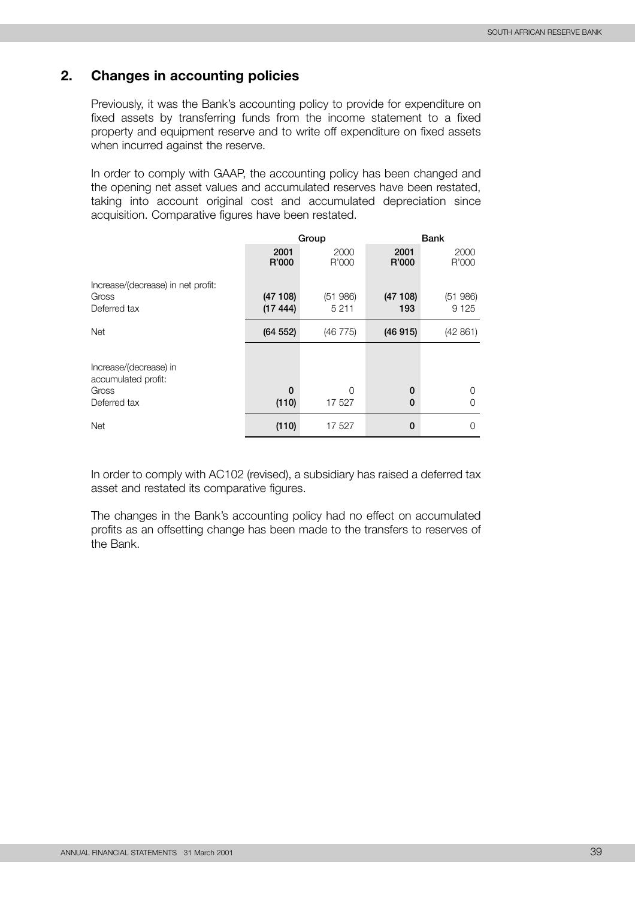#### **2. Changes in accounting policies**

Previously, it was the Bank's accounting policy to provide for expenditure on fixed assets by transferring funds from the income statement to a fixed property and equipment reserve and to write off expenditure on fixed assets when incurred against the reserve.

In order to comply with GAAP, the accounting policy has been changed and the opening net asset values and accumulated reserves have been restated, taking into account original cost and accumulated depreciation since acquisition. Comparative figures have been restated.

|                                                                        |                      | Group              | <b>Bank</b>    |                    |
|------------------------------------------------------------------------|----------------------|--------------------|----------------|--------------------|
|                                                                        | 2001<br>R'000        | 2000<br>R'000      | 2001<br>R'000  | 2000<br>R'000      |
| Increase/(decrease) in net profit:<br>Gross<br>Deferred tax            | (47108)<br>(1744)    | (51986)<br>5 2 1 1 | (47108)<br>193 | (51986)<br>9 1 2 5 |
| <b>Net</b>                                                             | (64 552)             | (46 775)           | (46915)        | (42 861)           |
| Increase/(decrease) in<br>accumulated profit:<br>Gross<br>Deferred tax | $\mathbf 0$<br>(110) | $\Omega$<br>17 527 | 0<br>0         | O<br>0             |
| <b>Net</b>                                                             | (110)                | 17 527             | 0              | $\Omega$           |

In order to comply with AC102 (revised), a subsidiary has raised a deferred tax asset and restated its comparative figures.

The changes in the Bank's accounting policy had no effect on accumulated profits as an offsetting change has been made to the transfers to reserves of the Bank.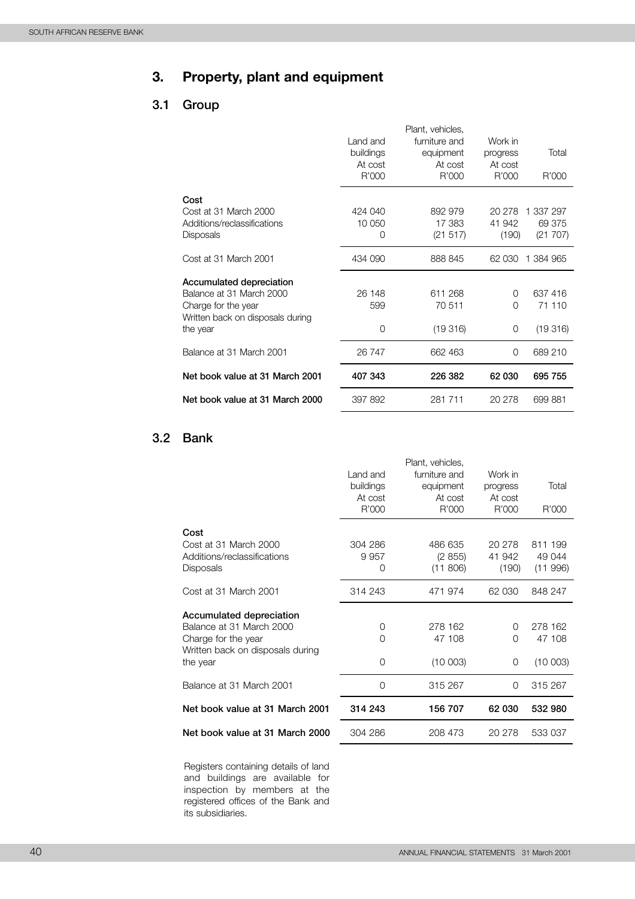# **3. Property, plant and equipment**

## **3.1 Group**

|                                                                                                                             | Land and<br>buildings<br>At cost<br>R'000 | Plant, vehicles,<br>furniture and<br>equipment<br>At cost<br>R'000 | Work in<br>progress<br>At cost<br>R'000 | Total<br>R'000                  |
|-----------------------------------------------------------------------------------------------------------------------------|-------------------------------------------|--------------------------------------------------------------------|-----------------------------------------|---------------------------------|
| Cost<br>Cost at 31 March 2000<br>Additions/reclassifications<br><b>Disposals</b>                                            | 424 040<br>10 050<br>0                    | 892 979<br>17 383<br>(21 517)                                      | 20 278<br>41 942<br>(190)               | 1 337 297<br>69 375<br>(21 707) |
| Cost at 31 March 2001                                                                                                       | 434 090                                   | 888 845                                                            | 62 030                                  | 1 384 965                       |
| Accumulated depreciation<br>Balance at 31 March 2000<br>Charge for the year<br>Written back on disposals during<br>the year | 26 148<br>599<br>0                        | 611 268<br>70 511<br>(19316)                                       | $\Omega$<br>$\Omega$<br>0               | 637 416<br>71 110<br>(19316)    |
| Balance at 31 March 2001                                                                                                    | 26 747                                    | 662 463                                                            | $\Omega$                                | 689 210                         |
| Net book value at 31 March 2001                                                                                             | 407 343                                   | 226 382                                                            | 62 030                                  | 695 755                         |
| Net book value at 31 March 2000                                                                                             | 397 892                                   | 281 711                                                            | 20 278                                  | 699 881                         |

#### **3.2 Bank**

|                                  |           | Plant, vehicles, |          |         |
|----------------------------------|-----------|------------------|----------|---------|
|                                  | Land and  | furniture and    | Work in  |         |
|                                  | buildings | equipment        | progress | Total   |
|                                  | At cost   | At cost          | At cost  |         |
|                                  | R'000     | R'000            | R'000    | R'000   |
| Cost                             |           |                  |          |         |
| Cost at 31 March 2000            | 304 286   | 486 635          | 20 278   | 811 199 |
| Additions/reclassifications      | 9957      | (2 855)          | 41 942   | 49 044  |
|                                  | 0         | (11806)          | (190)    | (11996) |
| Disposals                        |           |                  |          |         |
| Cost at 31 March 2001            | 314 243   | 471 974          | 62 030   | 848 247 |
| Accumulated depreciation         |           |                  |          |         |
| Balance at 31 March 2000         | 0         | 278 162          | 0        | 278 162 |
| Charge for the year              | 0         | 47 108           | O        | 47 108  |
| Written back on disposals during |           |                  |          |         |
| the year                         | 0         | (10003)          | 0        | (10003) |
|                                  |           |                  |          |         |
| Balance at 31 March 2001         | 0         | 315 267          | 0        | 315 267 |
| Net book value at 31 March 2001  | 314 243   | 156 707          | 62 030   | 532 980 |
|                                  |           |                  |          |         |
| Net book value at 31 March 2000  | 304 286   | 208 473          | 20 278   | 533 037 |
|                                  |           |                  |          |         |

Registers containing details of land and buildings are available for inspection by members at the registered offices of the Bank and its subsidiaries.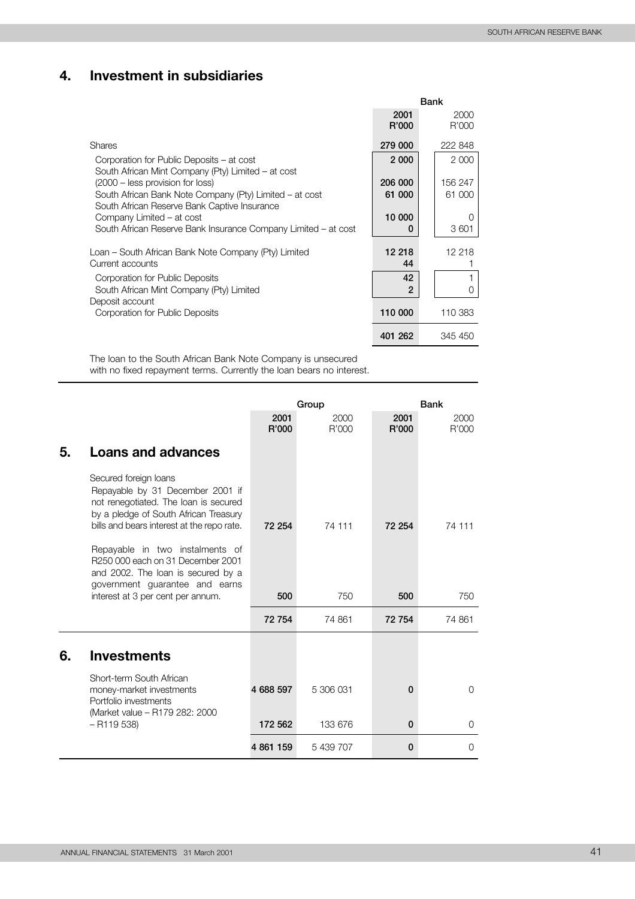# **4. Investment in subsidiaries**

|                                                                                                         |               | <b>Bank</b> |               |
|---------------------------------------------------------------------------------------------------------|---------------|-------------|---------------|
|                                                                                                         | 2001<br>R'000 |             | 2000<br>R'000 |
| <b>Shares</b>                                                                                           | 279 000       |             | 222 848       |
| Corporation for Public Deposits – at cost<br>South African Mint Company (Pty) Limited – at cost         | 2 0 0 0       |             | 2 0 0 0       |
| $(2000 - \text{less provision for loss})$                                                               | 206 000       |             | 156 247       |
| South African Bank Note Company (Pty) Limited – at cost<br>South African Reserve Bank Captive Insurance | 61 000        |             | 61 000        |
| Company Limited – at cost                                                                               | 10 000        |             |               |
| South African Reserve Bank Insurance Company Limited – at cost                                          | 0             |             | 3601          |
| Loan – South African Bank Note Company (Pty) Limited                                                    | 12 218        |             | 12 218        |
| Current accounts                                                                                        | 44            |             |               |
| Corporation for Public Deposits                                                                         | 42            |             |               |
| South African Mint Company (Pty) Limited                                                                | $\mathbf{2}$  |             | O             |
| Deposit account                                                                                         |               |             |               |
| Corporation for Public Deposits                                                                         | 110 000       |             | 110 383       |
|                                                                                                         | 401 262       |             | 345 450       |

The loan to the South African Bank Note Company is unsecured with no fixed repayment terms. Currently the loan bears no interest.

|    |                                                                                                                                                                                                                                                                                                                                                                                |               | Group         |               |               |
|----|--------------------------------------------------------------------------------------------------------------------------------------------------------------------------------------------------------------------------------------------------------------------------------------------------------------------------------------------------------------------------------|---------------|---------------|---------------|---------------|
|    |                                                                                                                                                                                                                                                                                                                                                                                | 2001<br>R'000 | 2000<br>R'000 | 2001<br>R'000 | 2000<br>R'000 |
| 5. | <b>Loans and advances</b>                                                                                                                                                                                                                                                                                                                                                      |               |               |               |               |
|    | Secured foreign loans<br>Repayable by 31 December 2001 if<br>not renegotiated. The loan is secured<br>by a pledge of South African Treasury<br>bills and bears interest at the repo rate.<br>Repayable in two instalments of<br>R250 000 each on 31 December 2001<br>and 2002. The loan is secured by a<br>government guarantee and earns<br>interest at 3 per cent per annum. | 72 254<br>500 | 74 111<br>750 | 72 254<br>500 | 74 111<br>750 |
|    |                                                                                                                                                                                                                                                                                                                                                                                | 72 754        | 74 861        | 72 754        | 74 861        |
| 6. | <b>Investments</b>                                                                                                                                                                                                                                                                                                                                                             |               |               |               |               |
|    | Short-term South African<br>money-market investments<br>Portfolio investments<br>(Market value - R179 282: 2000)                                                                                                                                                                                                                                                               | 4 688 597     | 5 306 031     | $\Omega$      | $\Omega$      |
|    | $-$ R119 538)                                                                                                                                                                                                                                                                                                                                                                  | 172 562       | 133 676       | $\mathbf 0$   | 0             |
|    |                                                                                                                                                                                                                                                                                                                                                                                | 4 861 159     | 5 439 707     | 0             | $\Omega$      |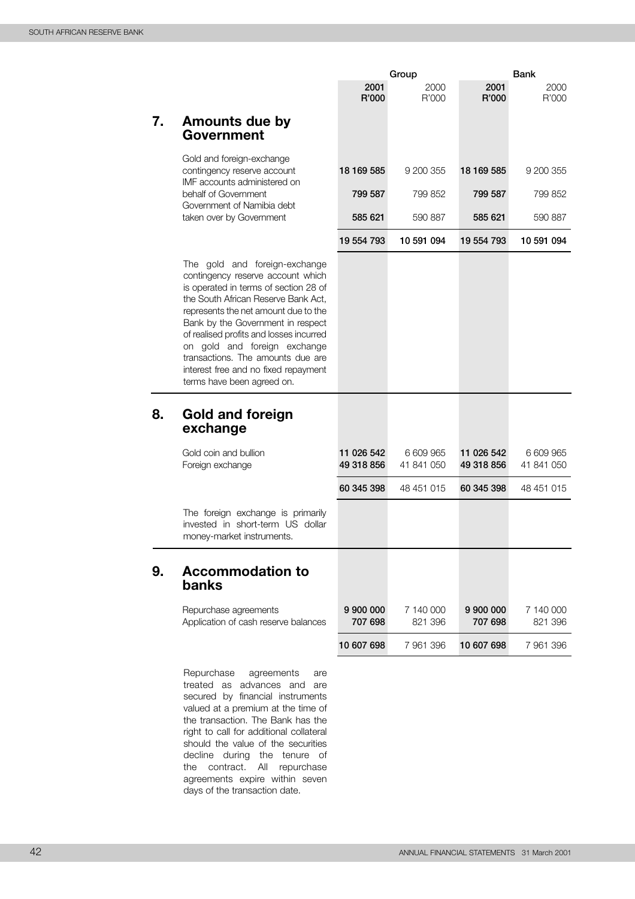|    |                                                                                                                                                                                                                                                                                                                                                                                                                       |                          | Group                   |                          |                         |  |
|----|-----------------------------------------------------------------------------------------------------------------------------------------------------------------------------------------------------------------------------------------------------------------------------------------------------------------------------------------------------------------------------------------------------------------------|--------------------------|-------------------------|--------------------------|-------------------------|--|
|    |                                                                                                                                                                                                                                                                                                                                                                                                                       | 2001<br>R'000            | 2000<br>R'000           | 2001<br>R'000            | 2000<br>R'000           |  |
| 7. | <b>Amounts due by</b><br>Government                                                                                                                                                                                                                                                                                                                                                                                   |                          |                         |                          |                         |  |
|    | Gold and foreign-exchange<br>contingency reserve account<br>IMF accounts administered on                                                                                                                                                                                                                                                                                                                              | 18 169 585               | 9 200 355               | 18 169 585               | 9 200 355               |  |
|    | behalf of Government<br>Government of Namibia debt                                                                                                                                                                                                                                                                                                                                                                    | 799 587                  | 799 852                 | 799 587                  | 799 852                 |  |
|    | taken over by Government                                                                                                                                                                                                                                                                                                                                                                                              | 585 621                  | 590 887                 | 585 621                  | 590 887                 |  |
|    |                                                                                                                                                                                                                                                                                                                                                                                                                       | 19 554 793               | 10 591 094              | 19 554 793               | 10 591 094              |  |
|    | The gold and foreign-exchange<br>contingency reserve account which<br>is operated in terms of section 28 of<br>the South African Reserve Bank Act.<br>represents the net amount due to the<br>Bank by the Government in respect<br>of realised profits and losses incurred<br>on gold and foreign exchange<br>transactions. The amounts due are<br>interest free and no fixed repayment<br>terms have been agreed on. |                          |                         |                          |                         |  |
| 8. | Gold and foreign<br>exchange                                                                                                                                                                                                                                                                                                                                                                                          |                          |                         |                          |                         |  |
|    | Gold coin and bullion<br>Foreign exchange                                                                                                                                                                                                                                                                                                                                                                             | 11 026 542<br>49 318 856 | 6 609 965<br>41 841 050 | 11 026 542<br>49 318 856 | 6 609 965<br>41 841 050 |  |
|    |                                                                                                                                                                                                                                                                                                                                                                                                                       | 60 345 398               | 48 451 015              | 60 345 398               | 48 451 015              |  |
|    | The foreign exchange is primarily<br>invested in short-term US dollar<br>money-market instruments.                                                                                                                                                                                                                                                                                                                    |                          |                         |                          |                         |  |
| 9. | <b>Accommodation to</b><br>banks                                                                                                                                                                                                                                                                                                                                                                                      |                          |                         |                          |                         |  |
|    | Repurchase agreements<br>Application of cash reserve balances                                                                                                                                                                                                                                                                                                                                                         | 9 900 000<br>707 698     | 7 140 000<br>821 396    | 9 900 000<br>707 698     | 7 140 000<br>821 396    |  |
|    |                                                                                                                                                                                                                                                                                                                                                                                                                       | 10 607 698               | 7 961 396               | 10 607 698               | 7 961 396               |  |

Repurchase agreements are treated as advances and are secured by financial instruments valued at a premium at the time of the transaction. The Bank has the right to call for additional collateral should the value of the securities decline during the tenure of the contract. All repurchase agreements expire within seven days of the transaction date.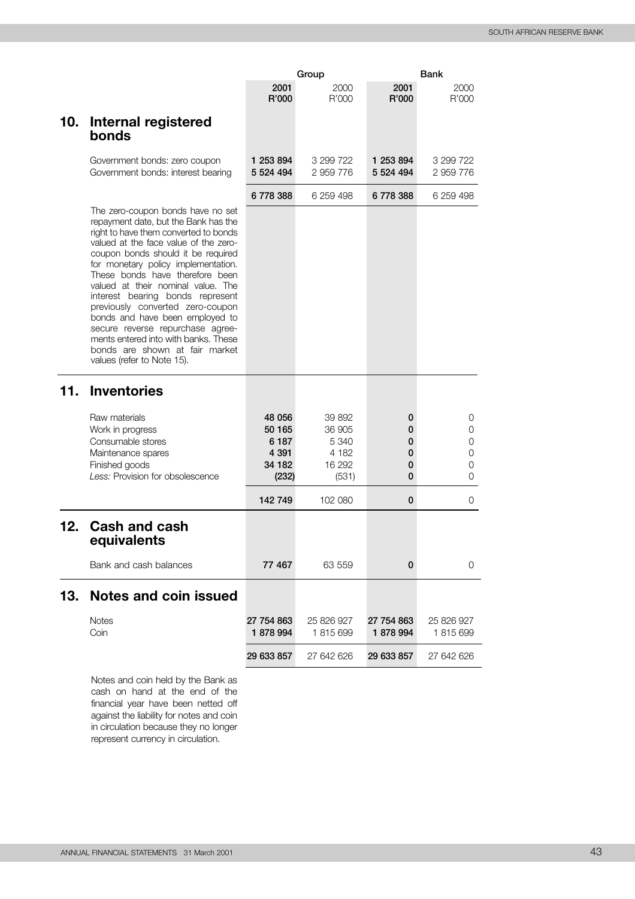|     | <b>Bank</b><br>Group                                                                                                                                                                                                                                                                                                                                                                                                                                                                                                                                                     |                          |                        |                          |                        |
|-----|--------------------------------------------------------------------------------------------------------------------------------------------------------------------------------------------------------------------------------------------------------------------------------------------------------------------------------------------------------------------------------------------------------------------------------------------------------------------------------------------------------------------------------------------------------------------------|--------------------------|------------------------|--------------------------|------------------------|
|     |                                                                                                                                                                                                                                                                                                                                                                                                                                                                                                                                                                          | 2001                     | 2000                   | 2001                     | 2000                   |
|     |                                                                                                                                                                                                                                                                                                                                                                                                                                                                                                                                                                          | R'000                    | R'000                  | R'000                    | R'000                  |
| 10. | <b>Internal registered</b><br>bonds                                                                                                                                                                                                                                                                                                                                                                                                                                                                                                                                      |                          |                        |                          |                        |
|     | Government bonds: zero coupon<br>Government bonds: interest bearing                                                                                                                                                                                                                                                                                                                                                                                                                                                                                                      | 1 253 894<br>5 5 24 4 94 | 3 299 722<br>2 959 776 | 1 253 894<br>5 5 24 4 94 | 3 299 722<br>2 959 776 |
|     |                                                                                                                                                                                                                                                                                                                                                                                                                                                                                                                                                                          | 6778388                  | 6 259 498              | 6778388                  | 6 259 498              |
|     | The zero-coupon bonds have no set<br>repayment date, but the Bank has the<br>right to have them converted to bonds<br>valued at the face value of the zero-<br>coupon bonds should it be required<br>for monetary policy implementation.<br>These bonds have therefore been<br>valued at their nominal value. The<br>interest bearing bonds represent<br>previously converted zero-coupon<br>bonds and have been employed to<br>secure reverse repurchase agree-<br>ments entered into with banks. These<br>bonds are shown at fair market<br>values (refer to Note 15). |                          |                        |                          |                        |
| 11. | <b>Inventories</b>                                                                                                                                                                                                                                                                                                                                                                                                                                                                                                                                                       |                          |                        |                          |                        |
|     | Raw materials                                                                                                                                                                                                                                                                                                                                                                                                                                                                                                                                                            | 48 056                   | 39 892                 | 0                        | 0                      |
|     | Work in progress                                                                                                                                                                                                                                                                                                                                                                                                                                                                                                                                                         | 50 165                   | 36 905                 | 0                        | 0                      |
|     | Consumable stores                                                                                                                                                                                                                                                                                                                                                                                                                                                                                                                                                        | 6 187                    | 5 3 4 0                | 0                        | 0                      |
|     | Maintenance spares                                                                                                                                                                                                                                                                                                                                                                                                                                                                                                                                                       | 4 3 9 1                  | 4 182                  | 0                        | 0                      |
|     | Finished goods<br>Less: Provision for obsolescence                                                                                                                                                                                                                                                                                                                                                                                                                                                                                                                       | 34 182<br>(232)          | 16 29 2<br>(531)       | 0<br>0                   | 0<br>0                 |
|     |                                                                                                                                                                                                                                                                                                                                                                                                                                                                                                                                                                          | 142 749                  | 102 080                | $\mathbf 0$              | 0                      |
| 12. | <b>Cash and cash</b><br>equivalents                                                                                                                                                                                                                                                                                                                                                                                                                                                                                                                                      |                          |                        |                          |                        |
|     | Bank and cash balances                                                                                                                                                                                                                                                                                                                                                                                                                                                                                                                                                   | 77 467                   | 63 559                 | 0                        | 0                      |
| 13. | Notes and coin issued                                                                                                                                                                                                                                                                                                                                                                                                                                                                                                                                                    |                          |                        |                          |                        |
|     | <b>Notes</b>                                                                                                                                                                                                                                                                                                                                                                                                                                                                                                                                                             | 27 754 863               | 25 826 927             | 27 754 863               | 25 826 927             |
|     | Coin                                                                                                                                                                                                                                                                                                                                                                                                                                                                                                                                                                     | 1878994                  | 1815699                | 1878994                  | 1815699                |
|     |                                                                                                                                                                                                                                                                                                                                                                                                                                                                                                                                                                          | 29 633 857               | 27 642 626             | 29 633 857               | 27 642 626             |
|     | Notoe and opin hold by the Rapk as                                                                                                                                                                                                                                                                                                                                                                                                                                                                                                                                       |                          |                        |                          |                        |

Notes and coin held by the Bank as cash on hand at the end of the financial year have been netted off against the liability for notes and coin in circulation because they no longer represent currency in circulation.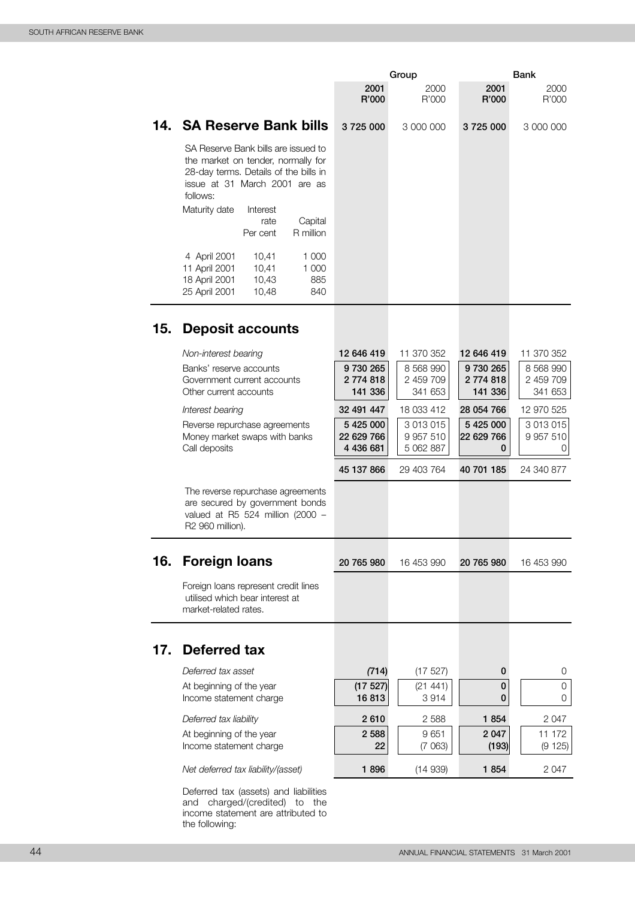|                                                                                                                                                                                                                                                                            |               | Group         |               | <b>Bank</b>   |
|----------------------------------------------------------------------------------------------------------------------------------------------------------------------------------------------------------------------------------------------------------------------------|---------------|---------------|---------------|---------------|
|                                                                                                                                                                                                                                                                            | 2001<br>R'000 | 2000<br>R'000 | 2001<br>R'000 | 2000<br>R'000 |
| 14. SA Reserve Bank bills                                                                                                                                                                                                                                                  | 3725000       | 3 000 000     | 3725000       | 3 000 000     |
| SA Reserve Bank bills are issued to<br>the market on tender, normally for<br>28-day terms. Details of the bills in<br>issue at 31 March 2001 are as<br>follows:<br>Maturity date<br>Interest<br>Capital<br>rate<br>R million<br>Per cent<br>4 April 2001<br>10,41<br>1 000 |               |               |               |               |
| 11 April 2001<br>10,41<br>1 000<br>18 April 2001<br>10,43<br>885<br>25 April 2001<br>10,48<br>840                                                                                                                                                                          |               |               |               |               |

# **15. Deposit accounts**

|     | Non-interest bearing                                                                                                         | 12 646 419 | 11 370 352    | 12 646 419 | 11 370 352    |
|-----|------------------------------------------------------------------------------------------------------------------------------|------------|---------------|------------|---------------|
|     | Banks' reserve accounts                                                                                                      | 9 730 265  | 8 568 990     | 9730265    | 8 5 6 8 9 9 0 |
|     | Government current accounts                                                                                                  | 2774818    | 2 459 709     | 2774818    | 2 459 709     |
|     | Other current accounts                                                                                                       | 141 336    | 341 653       | 141 336    | 341 653       |
|     | Interest bearing                                                                                                             | 32 491 447 | 18 033 412    | 28 054 766 | 12 970 525    |
|     | Reverse repurchase agreements                                                                                                | 5 425 000  | 3 013 015     | 5 425 000  | 3013015       |
|     | Money market swaps with banks                                                                                                | 22 629 766 | 9 9 5 7 5 1 0 | 22 629 766 | 9 9 5 7 5 1 0 |
|     | Call deposits                                                                                                                | 4 436 681  | 5 062 887     | 0          | O             |
|     |                                                                                                                              | 45 137 866 | 29 403 764    | 40 701 185 | 24 340 877    |
|     | The reverse repurchase agreements<br>are secured by government bonds<br>valued at R5 524 million (2000 -<br>R2 960 million). |            |               |            |               |
|     |                                                                                                                              |            |               |            |               |
| 16. | <b>Foreign loans</b>                                                                                                         | 20 765 980 | 16 453 990    | 20 765 980 | 16 453 990    |
|     | Foreign loans represent credit lines<br>utilised which bear interest at<br>market-related rates.                             |            |               |            |               |
|     |                                                                                                                              |            |               |            |               |
| 17. | Deferred tax                                                                                                                 |            |               |            |               |
|     | Deferred tax asset                                                                                                           | (714)      | (17527)       | 0          | 0             |
|     | At beginning of the year                                                                                                     | (17527)    | (21441)       | 0          | 0             |
|     | Income statement charge                                                                                                      | 16813      | 3914          | 0          | 0             |
|     | Deferred tax liability                                                                                                       | 2610       | 2588          | 1854       | 2 0 4 7       |
|     | At beginning of the year                                                                                                     | 2 5 8 8    | 9651          | 2047       | 11 172        |
|     | Income statement charge                                                                                                      | 22         | (7063)        | (193)      | (9125)        |
|     | Net deferred tax liability/(asset)                                                                                           | 1896       | (14939)       | 1854       | 2047          |

Deferred tax (assets) and liabilities and charged/(credited) to the income statement are attributed to the following: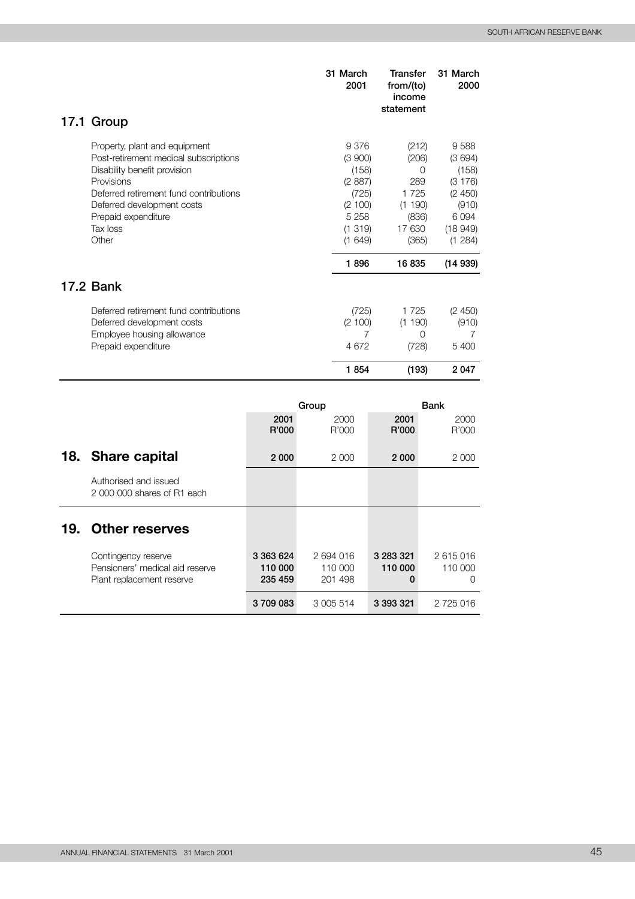|                                                                                                                                                                                                                                          | 31 March<br>2001                                                                      | Transfer<br>from/(to)<br>income<br>statement                                     | 31 March<br>2000                                                                      |
|------------------------------------------------------------------------------------------------------------------------------------------------------------------------------------------------------------------------------------------|---------------------------------------------------------------------------------------|----------------------------------------------------------------------------------|---------------------------------------------------------------------------------------|
| 17.1 Group                                                                                                                                                                                                                               |                                                                                       |                                                                                  |                                                                                       |
| Property, plant and equipment<br>Post-retirement medical subscriptions<br>Disability benefit provision<br>Provisions<br>Deferred retirement fund contributions<br>Deferred development costs<br>Prepaid expenditure<br>Tax loss<br>Other | 9376<br>(3 900)<br>(158)<br>(2887)<br>(725)<br>(2 100)<br>5 2 5 8<br>(1319)<br>(1649) | (212)<br>(206)<br>$\Omega$<br>289<br>1725<br>(1 190)<br>(836)<br>17 630<br>(365) | 9588<br>(3694)<br>(158)<br>(3176)<br>(2450)<br>(910)<br>6 0 9 4<br>(18949)<br>(1 284) |
|                                                                                                                                                                                                                                          | 1896                                                                                  | 16 835                                                                           | (14939)                                                                               |
| <b>17.2 Bank</b>                                                                                                                                                                                                                         |                                                                                       |                                                                                  |                                                                                       |
| Deferred retirement fund contributions<br>Deferred development costs<br>Employee housing allowance<br>Prepaid expenditure                                                                                                                | (725)<br>(2 100)<br>7<br>4 6 7 2                                                      | 1 7 2 5<br>(1 190)<br>0<br>(728)                                                 | (2450)<br>(910)<br>7<br>5 400                                                         |
|                                                                                                                                                                                                                                          | 1854                                                                                  | (193)                                                                            | 2 0 4 7                                                                               |

|     |                                                                                     | Group                           |                               | <b>Bank</b>               |                                |
|-----|-------------------------------------------------------------------------------------|---------------------------------|-------------------------------|---------------------------|--------------------------------|
|     |                                                                                     | 2001<br>R'000                   | 2000<br>R'000                 | 2001<br>R'000             | 2000<br>R'000                  |
|     | 18. Share capital                                                                   | 2 0 0 0                         | 2 0 0 0                       | 2000                      | 2 0 0 0                        |
|     | Authorised and issued<br>2000 000 shares of R1 each                                 |                                 |                               |                           |                                |
| 19. | <b>Other reserves</b>                                                               |                                 |                               |                           |                                |
|     | Contingency reserve<br>Pensioners' medical aid reserve<br>Plant replacement reserve | 3 363 624<br>110 000<br>235 459 | 2694016<br>110 000<br>201 498 | 3 283 321<br>110 000<br>0 | 2615016<br>110 000<br>$\Omega$ |
|     |                                                                                     | 3709083                         | 3 005 514                     | 3 393 321                 | 2 725 016                      |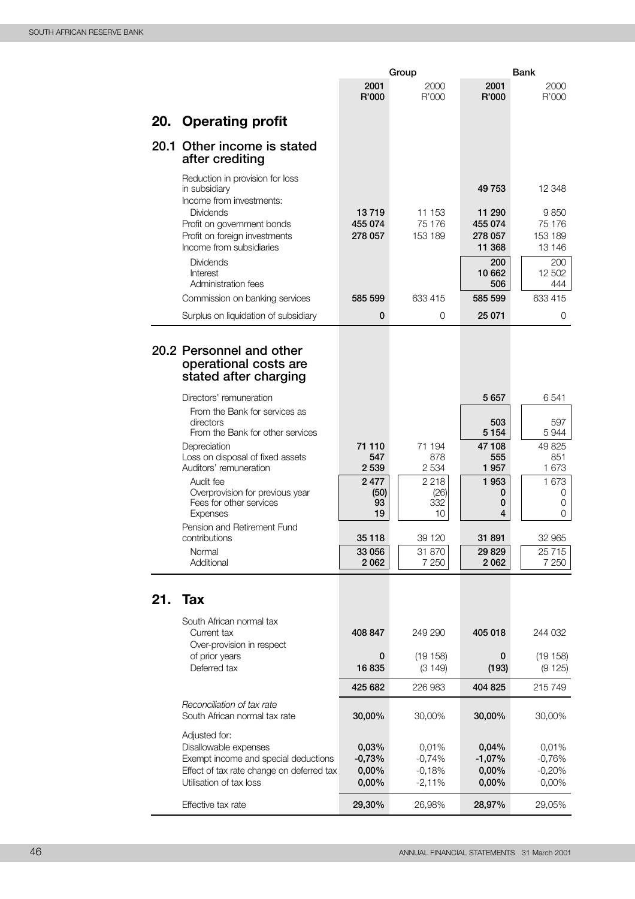|     | Group                                                                                                                                                                                                                                                                                                                                                                                                                                       |                                                                                        |                                                                                        |                                                                                                              | Bank                                                                                                |  |
|-----|---------------------------------------------------------------------------------------------------------------------------------------------------------------------------------------------------------------------------------------------------------------------------------------------------------------------------------------------------------------------------------------------------------------------------------------------|----------------------------------------------------------------------------------------|----------------------------------------------------------------------------------------|--------------------------------------------------------------------------------------------------------------|-----------------------------------------------------------------------------------------------------|--|
|     |                                                                                                                                                                                                                                                                                                                                                                                                                                             | 2001                                                                                   | 2000                                                                                   | 2001                                                                                                         | 2000                                                                                                |  |
|     |                                                                                                                                                                                                                                                                                                                                                                                                                                             | R'000                                                                                  | R'000                                                                                  | R'000                                                                                                        | R'000                                                                                               |  |
| 20. | <b>Operating profit</b>                                                                                                                                                                                                                                                                                                                                                                                                                     |                                                                                        |                                                                                        |                                                                                                              |                                                                                                     |  |
|     | 20.1 Other income is stated<br>after crediting                                                                                                                                                                                                                                                                                                                                                                                              |                                                                                        |                                                                                        |                                                                                                              |                                                                                                     |  |
|     | Reduction in provision for loss<br>in subsidiary<br>Income from investments:                                                                                                                                                                                                                                                                                                                                                                |                                                                                        |                                                                                        | 49 753                                                                                                       | 12 348                                                                                              |  |
|     | <b>Dividends</b><br>Profit on government bonds<br>Profit on foreign investments<br>Income from subsidiaries                                                                                                                                                                                                                                                                                                                                 | 13719<br>455 074<br>278 057                                                            | 11 153<br>75 176<br>153 189                                                            | 11 290<br>455 074<br>278 057<br>11 368                                                                       | 9850<br>75 176<br>153 189<br>13 146                                                                 |  |
|     | Dividends<br><b>Interest</b><br>Administration fees                                                                                                                                                                                                                                                                                                                                                                                         |                                                                                        |                                                                                        | 200<br>10 662<br>506                                                                                         | 200<br>12 502<br>444                                                                                |  |
|     | Commission on banking services                                                                                                                                                                                                                                                                                                                                                                                                              | 585 599                                                                                | 633 415                                                                                | 585 599                                                                                                      | 633 415                                                                                             |  |
|     | Surplus on liquidation of subsidiary                                                                                                                                                                                                                                                                                                                                                                                                        | 0                                                                                      | 0                                                                                      | 25 071                                                                                                       | 0                                                                                                   |  |
|     | 20.2 Personnel and other<br>operational costs are<br>stated after charging<br>Directors' remuneration<br>From the Bank for services as<br>directors<br>From the Bank for other services<br>Depreciation<br>Loss on disposal of fixed assets<br>Auditors' remuneration<br>Audit fee<br>Overprovision for previous year<br>Fees for other services<br><b>Expenses</b><br>Pension and Retirement Fund<br>contributions<br>Normal<br>Additional | 71 110<br>547<br>2 5 3 9<br>2 4 7 7<br>(50)<br>93<br>19<br>35 118<br>33 056<br>2 0 6 2 | 71 194<br>878<br>2 5 3 4<br>2 2 1 8<br>(26)<br>332<br>10<br>39 1 20<br>31 870<br>7 250 | 5 6 5 7<br>503<br>5 1 5 4<br>47 108<br>555<br>1957<br>1 9 5 3<br>0<br>0<br>4<br>31 891<br>29 8 29<br>2 0 6 2 | 6 541<br>597<br>5944<br>49 825<br>851<br>1 673<br>1 673<br>0<br>0<br>Ω<br>32 965<br>25 715<br>7 250 |  |
| 21. | <b>Tax</b>                                                                                                                                                                                                                                                                                                                                                                                                                                  |                                                                                        |                                                                                        |                                                                                                              |                                                                                                     |  |
|     | South African normal tax<br>Current tax<br>Over-provision in respect                                                                                                                                                                                                                                                                                                                                                                        | 408 847                                                                                | 249 290                                                                                | 405 018                                                                                                      | 244 032                                                                                             |  |
|     | of prior years<br>Deferred tax                                                                                                                                                                                                                                                                                                                                                                                                              | $\bf{0}$<br>16835                                                                      | (19 158)<br>(3149)                                                                     | 0<br>(193)                                                                                                   | (19 158)<br>(9125)                                                                                  |  |
|     |                                                                                                                                                                                                                                                                                                                                                                                                                                             | 425 682                                                                                | 226 983                                                                                | 404 825                                                                                                      | 215749                                                                                              |  |
|     | Reconciliation of tax rate<br>South African normal tax rate                                                                                                                                                                                                                                                                                                                                                                                 | 30,00%                                                                                 | 30,00%                                                                                 | 30,00%                                                                                                       | 30,00%                                                                                              |  |
|     | Adjusted for:<br>Disallowable expenses<br>Exempt income and special deductions<br>Effect of tax rate change on deferred tax<br>Utilisation of tax loss                                                                                                                                                                                                                                                                                      | 0,03%<br>$-0,73%$<br>0,00%<br>0,00%                                                    | 0,01%<br>$-0,74%$<br>$-0,18%$<br>$-2,11%$                                              | 0,04%<br>$-1,07%$<br>0,00%<br>0,00%                                                                          | 0,01%<br>$-0,76%$<br>$-0,20%$<br>0,00%                                                              |  |
|     | Effective tax rate                                                                                                                                                                                                                                                                                                                                                                                                                          | 29,30%                                                                                 | 26,98%                                                                                 | 28,97%                                                                                                       | 29,05%                                                                                              |  |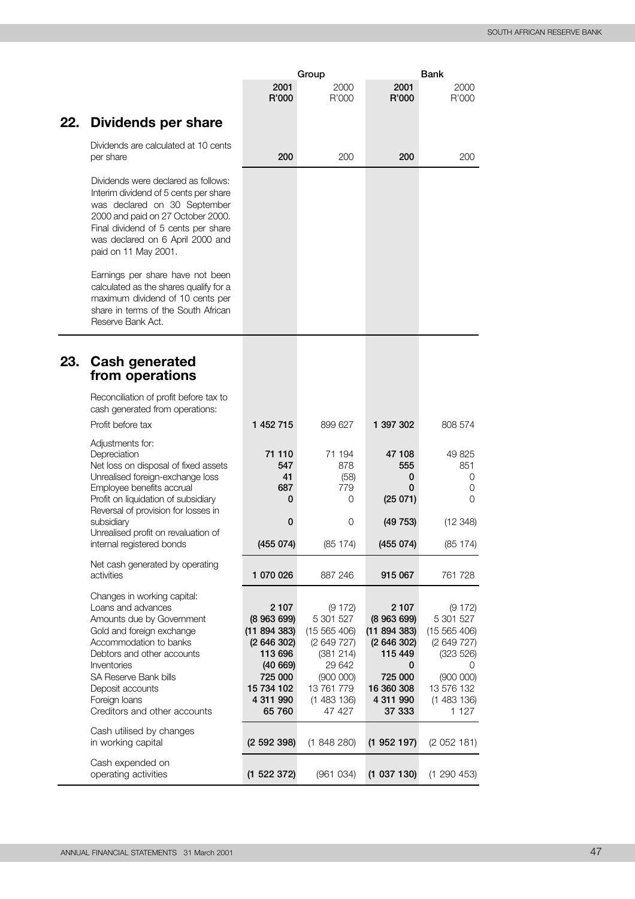|     |                                                                                                                                                                                                                                                                                  | Group                                                                                                               |                                                                                                                           |                                                                                                               | Bank                                                                                                                  |  |
|-----|----------------------------------------------------------------------------------------------------------------------------------------------------------------------------------------------------------------------------------------------------------------------------------|---------------------------------------------------------------------------------------------------------------------|---------------------------------------------------------------------------------------------------------------------------|---------------------------------------------------------------------------------------------------------------|-----------------------------------------------------------------------------------------------------------------------|--|
|     |                                                                                                                                                                                                                                                                                  | 2001<br>R'000                                                                                                       | 2000<br>R'000                                                                                                             | 2001<br>R'000                                                                                                 | 2000<br>R'000                                                                                                         |  |
| 22. | Dividends per share                                                                                                                                                                                                                                                              |                                                                                                                     |                                                                                                                           |                                                                                                               |                                                                                                                       |  |
|     | Dividends are calculated at 10 cents<br>per share                                                                                                                                                                                                                                | 200                                                                                                                 | 200                                                                                                                       | 200                                                                                                           | 200                                                                                                                   |  |
|     | Dividends were declared as follows:<br>Interim dividend of 5 cents per share<br>was declared on 30 September<br>2000 and paid on 27 October 2000.<br>Final dividend of 5 cents per share<br>was declared on 6 April 2000 and<br>paid on 11 May 2001.                             |                                                                                                                     |                                                                                                                           |                                                                                                               |                                                                                                                       |  |
|     | Earnings per share have not been<br>calculated as the shares qualify for a<br>maximum dividend of 10 cents per<br>share in terms of the South African<br>Reserve Bank Act.                                                                                                       |                                                                                                                     |                                                                                                                           |                                                                                                               |                                                                                                                       |  |
|     | 23. Cash generated<br>from operations                                                                                                                                                                                                                                            |                                                                                                                     |                                                                                                                           |                                                                                                               |                                                                                                                       |  |
|     | Reconciliation of profit before tax to<br>cash generated from operations:                                                                                                                                                                                                        |                                                                                                                     |                                                                                                                           |                                                                                                               |                                                                                                                       |  |
|     | Profit before tax                                                                                                                                                                                                                                                                | 1 452 715                                                                                                           | 899 627                                                                                                                   | 1 397 302                                                                                                     | 808 574                                                                                                               |  |
|     | Adjustments for:<br>Depreciation<br>Net loss on disposal of fixed assets<br>Unrealised foreign-exchange loss<br>Employee benefits accrual<br>Profit on liquidation of subsidiary<br>Reversal of provision for losses in                                                          | 71 110<br>547<br>41<br>687<br>0                                                                                     | 71 194<br>878<br>(58)<br>779<br>0                                                                                         | 47 108<br>555<br>0<br>0<br>(25071)                                                                            | 49 825<br>851<br>0<br>0<br>0                                                                                          |  |
|     | subsidiary                                                                                                                                                                                                                                                                       | 0                                                                                                                   | 0                                                                                                                         | (49753)                                                                                                       | (12, 348)                                                                                                             |  |
|     | Unrealised profit on revaluation of<br>internal registered bonds                                                                                                                                                                                                                 | (455074)                                                                                                            | (85 174)                                                                                                                  | (455074)                                                                                                      | (85 174)                                                                                                              |  |
|     | Net cash generated by operating<br>activities                                                                                                                                                                                                                                    | 1 070 026                                                                                                           | 887 246                                                                                                                   | 915 067                                                                                                       | 761 728                                                                                                               |  |
|     | Changes in working capital:<br>Loans and advances<br>Amounts due by Government<br>Gold and foreign exchange<br>Accommodation to banks<br>Debtors and other accounts<br>Inventories<br>SA Reserve Bank bills<br>Deposit accounts<br>Foreign Ioans<br>Creditors and other accounts | 2 107<br>(8963699)<br>(11894383)<br>(2646302)<br>113 696<br>(40669)<br>725 000<br>15 734 102<br>4 311 990<br>65 760 | (9172)<br>5 301 527<br>(15 565 406)<br>(2649727)<br>(381 214)<br>29 642<br>(900 000)<br>13 761 779<br>(1483136)<br>47 427 | 2 107<br>(8963699)<br>(11894383)<br>(2646302)<br>115 449<br>0<br>725 000<br>16 360 308<br>4 311 990<br>37 333 | (9172)<br>5 301 527<br>(15 565 406)<br>(2649727)<br>(323 526)<br>0<br>(900 000)<br>13 576 132<br>(1483136)<br>1 1 2 7 |  |
|     | Cash utilised by changes<br>in working capital                                                                                                                                                                                                                                   | (2592398)                                                                                                           | (1848280)                                                                                                                 | (1952197)                                                                                                     | (2052181)                                                                                                             |  |
|     | Cash expended on<br>operating activities                                                                                                                                                                                                                                         | (1 522 372)                                                                                                         | (961034)                                                                                                                  | (1037130)                                                                                                     | (1290453)                                                                                                             |  |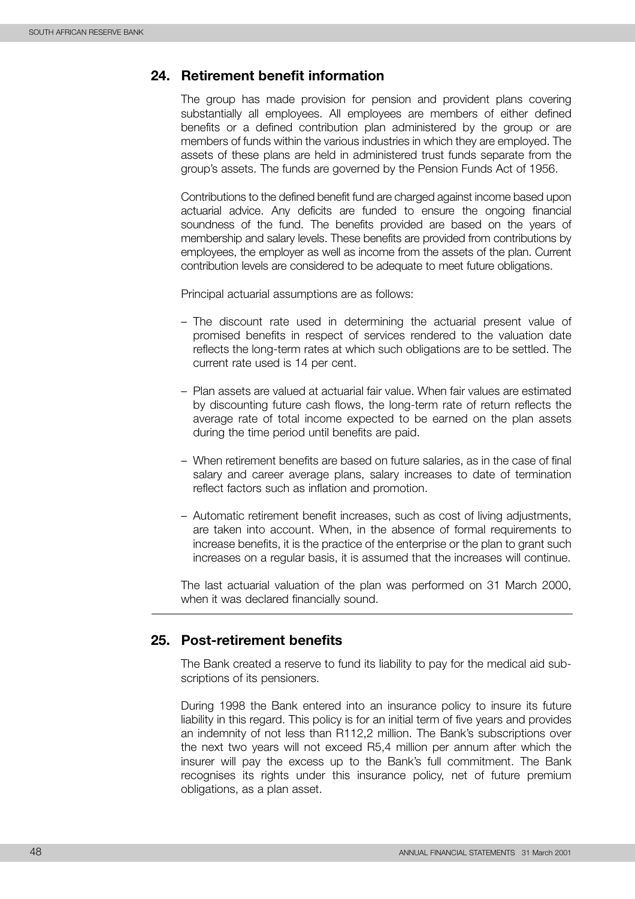#### **24. Retirement benefit information**

The group has made provision for pension and provident plans covering substantially all employees. All employees are members of either defined benefits or a defined contribution plan administered by the group or are members of funds within the various industries in which they are employed. The assets of these plans are held in administered trust funds separate from the group's assets. The funds are governed by the Pension Funds Act of 1956.

Contributions to the defined benefit fund are charged against income based upon actuarial advice. Any deficits are funded to ensure the ongoing financial soundness of the fund. The benefits provided are based on the years of membership and salary levels. These benefits are provided from contributions by employees, the employer as well as income from the assets of the plan. Current contribution levels are considered to be adequate to meet future obligations.

Principal actuarial assumptions are as follows:

- The discount rate used in determining the actuarial present value of promised benefits in respect of services rendered to the valuation date reflects the long-term rates at which such obligations are to be settled. The current rate used is 14 per cent.
- Plan assets are valued at actuarial fair value. When fair values are estimated by discounting future cash flows, the long-term rate of return reflects the average rate of total income expected to be earned on the plan assets during the time period until benefits are paid.
- When retirement benefits are based on future salaries, as in the case of final salary and career average plans, salary increases to date of termination reflect factors such as inflation and promotion.
- Automatic retirement benefit increases, such as cost of living adjustments, are taken into account. When, in the absence of formal requirements to increase benefits, it is the practice of the enterprise or the plan to grant such increases on a regular basis, it is assumed that the increases will continue.

The last actuarial valuation of the plan was performed on 31 March 2000, when it was declared financially sound.

#### **25. Post-retirement benefits**

The Bank created a reserve to fund its liability to pay for the medical aid subscriptions of its pensioners.

During 1998 the Bank entered into an insurance policy to insure its future liability in this regard. This policy is for an initial term of five years and provides an indemnity of not less than R112,2 million. The Bank's subscriptions over the next two years will not exceed R5,4 million per annum after which the insurer will pay the excess up to the Bank's full commitment. The Bank recognises its rights under this insurance policy, net of future premium obligations, as a plan asset.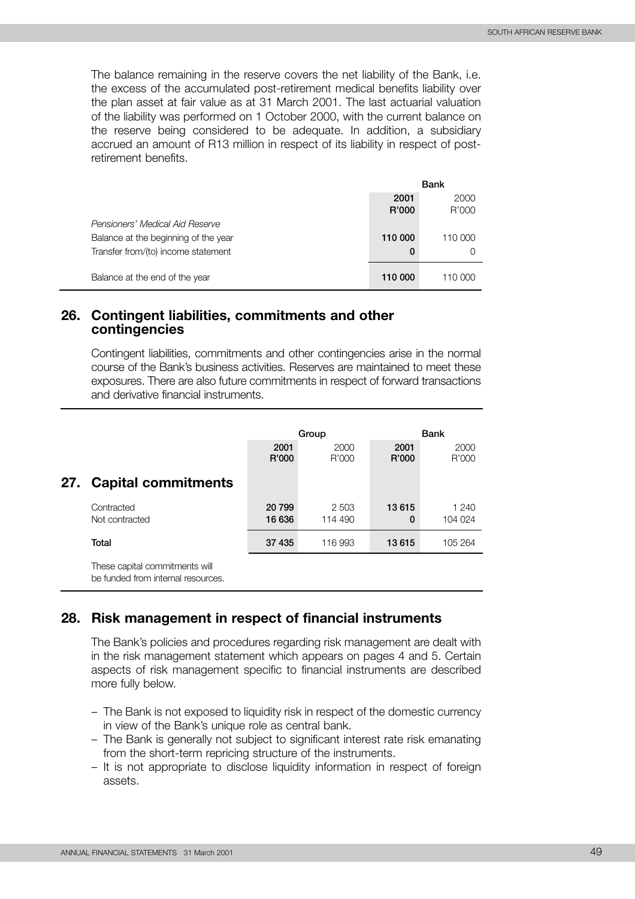The balance remaining in the reserve covers the net liability of the Bank, i.e. the excess of the accumulated post-retirement medical benefits liability over the plan asset at fair value as at 31 March 2001. The last actuarial valuation of the liability was performed on 1 October 2000, with the current balance on the reserve being considered to be adequate. In addition, a subsidiary accrued an amount of R13 million in respect of its liability in respect of postretirement benefits.

|                                      | <b>Bank</b>   |               |
|--------------------------------------|---------------|---------------|
|                                      | 2001<br>R'000 | 2000<br>R'000 |
| Pensioners' Medical Aid Reserve      |               |               |
| Balance at the beginning of the year | 110 000       | 110 000       |
| Transfer from/(to) income statement  | 0             |               |
| Balance at the end of the year       | 110 000       | 110 000       |

#### **26. Contingent liabilities, commitments and other contingencies**

Contingent liabilities, commitments and other contingencies arise in the normal course of the Bank's business activities. Reserves are maintained to meet these exposures. There are also future commitments in respect of forward transactions and derivative financial instruments.

|                                |                  | Group            |               | <b>Bank</b>      |
|--------------------------------|------------------|------------------|---------------|------------------|
|                                | 2001<br>R'000    | 2000<br>R'000    | 2001<br>R'000 | 2000<br>R'000    |
| 27. Capital commitments        |                  |                  |               |                  |
| Contracted<br>Not contracted   | 20 799<br>16 636 | 2 503<br>114 490 | 13615<br>0    | 1 240<br>104 024 |
| Total                          | 37 435           | 116 993          | 13615         | 105 264          |
| These copital commitments will |                  |                  |               |                  |

These capital commitments will be funded from internal resources.

#### **28. Risk management in respect of financial instruments**

The Bank's policies and procedures regarding risk management are dealt with in the risk management statement which appears on pages 4 and 5. Certain aspects of risk management specific to financial instruments are described more fully below.

- The Bank is not exposed to liquidity risk in respect of the domestic currency in view of the Bank's unique role as central bank.
- The Bank is generally not subject to significant interest rate risk emanating from the short-term repricing structure of the instruments.
- It is not appropriate to disclose liquidity information in respect of foreign assets.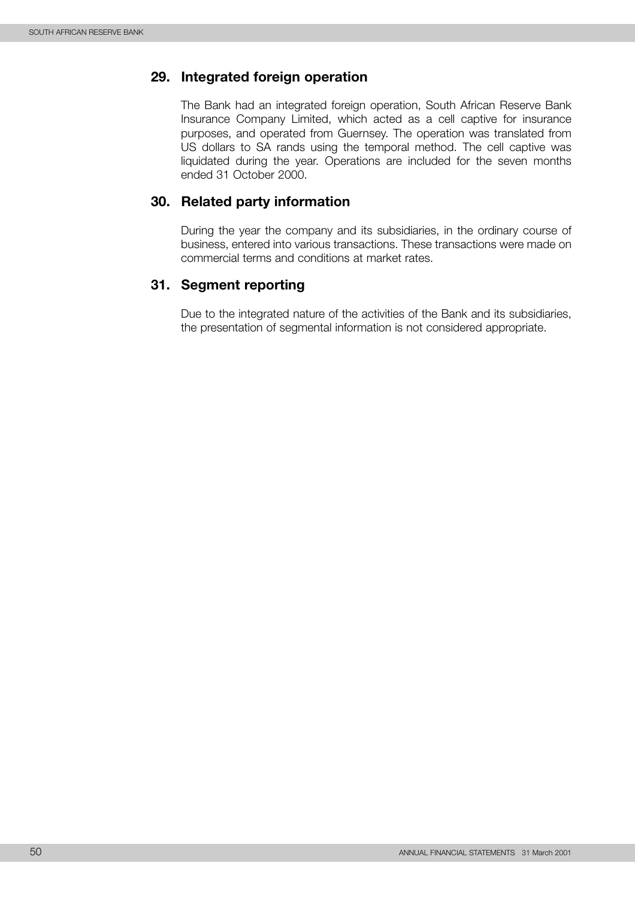### **29. Integrated foreign operation**

The Bank had an integrated foreign operation, South African Reserve Bank Insurance Company Limited, which acted as a cell captive for insurance purposes, and operated from Guernsey. The operation was translated from US dollars to SA rands using the temporal method. The cell captive was liquidated during the year. Operations are included for the seven months ended 31 October 2000.

### **30. Related party information**

During the year the company and its subsidiaries, in the ordinary course of business, entered into various transactions. These transactions were made on commercial terms and conditions at market rates.

#### **31. Segment reporting**

Due to the integrated nature of the activities of the Bank and its subsidiaries, the presentation of segmental information is not considered appropriate.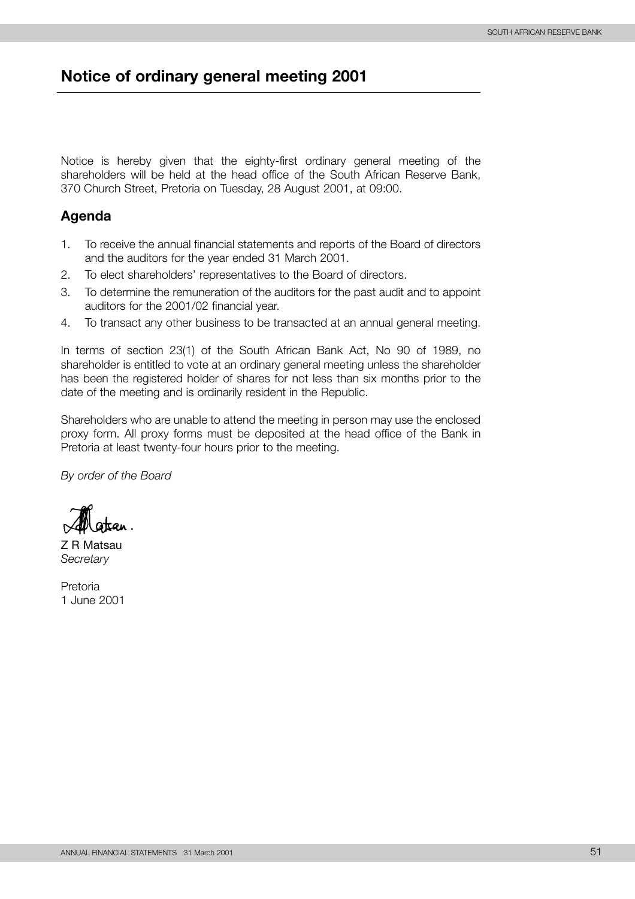# <span id="page-53-0"></span>**Notice of ordinary general meeting 2001**

Notice is hereby given that the eighty-first ordinary general meeting of the shareholders will be held at the head office of the South African Reserve Bank, 370 Church Street, Pretoria on Tuesday, 28 August 2001, at 09:00.

### **Agenda**

- 1. To receive the annual financial statements and reports of the Board of directors and the auditors for the year ended 31 March 2001.
- 2. To elect shareholders' representatives to the Board of directors.
- 3. To determine the remuneration of the auditors for the past audit and to appoint auditors for the 2001/02 financial year.
- 4. To transact any other business to be transacted at an annual general meeting.

In terms of section 23(1) of the South African Bank Act, No 90 of 1989, no shareholder is entitled to vote at an ordinary general meeting unless the shareholder has been the registered holder of shares for not less than six months prior to the date of the meeting and is ordinarily resident in the Republic.

Shareholders who are unable to attend the meeting in person may use the enclosed proxy form. All proxy forms must be deposited at the head office of the Bank in Pretoria at least twenty-four hours prior to the meeting.

*By order of the Board*

Z R Matsau *Secretary*

Pretoria 1 June 2001